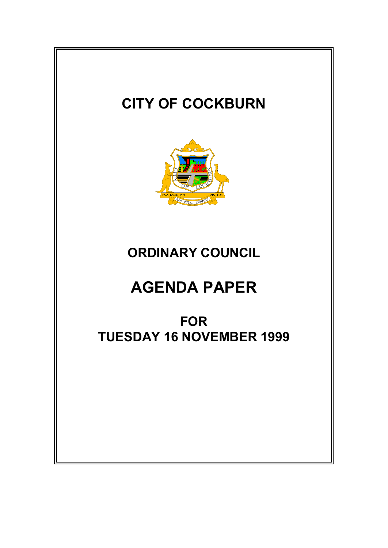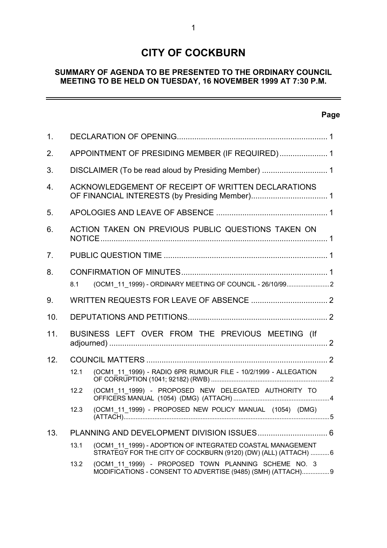# **CITY OF COCKBURN**

## **SUMMARY OF AGENDA TO BE PRESENTED TO THE ORDINARY COUNCIL MEETING TO BE HELD ON TUESDAY, 16 NOVEMBER 1999 AT 7:30 P.M.**

# **Page**

 $\overline{a}$ 

| 1.  |                                                                 |                                                                                                                               |  |  |  |
|-----|-----------------------------------------------------------------|-------------------------------------------------------------------------------------------------------------------------------|--|--|--|
| 2.  | APPOINTMENT OF PRESIDING MEMBER (IF REQUIRED) 1                 |                                                                                                                               |  |  |  |
| 3.  |                                                                 |                                                                                                                               |  |  |  |
| 4.  | ACKNOWLEDGEMENT OF RECEIPT OF WRITTEN DECLARATIONS              |                                                                                                                               |  |  |  |
| 5.  |                                                                 |                                                                                                                               |  |  |  |
| 6.  |                                                                 | ACTION TAKEN ON PREVIOUS PUBLIC QUESTIONS TAKEN ON                                                                            |  |  |  |
| 7.  |                                                                 |                                                                                                                               |  |  |  |
| 8.  | (OCM1_11_1999) - ORDINARY MEETING OF COUNCIL - 26/10/992<br>8.1 |                                                                                                                               |  |  |  |
| 9.  |                                                                 |                                                                                                                               |  |  |  |
| 10. |                                                                 |                                                                                                                               |  |  |  |
| 11. |                                                                 | BUSINESS LEFT OVER FROM THE PREVIOUS MEETING (If                                                                              |  |  |  |
| 12. |                                                                 |                                                                                                                               |  |  |  |
|     | 12.1                                                            | (OCM1 11 1999) - RADIO 6PR RUMOUR FILE - 10/2/1999 - ALLEGATION                                                               |  |  |  |
|     | 12.2                                                            | (OCM1 11 1999) - PROPOSED NEW DELEGATED AUTHORITY TO                                                                          |  |  |  |
|     | 12.3                                                            | (OCM1 11 1999) - PROPOSED NEW POLICY MANUAL (1054) (DMG)                                                                      |  |  |  |
| 13. |                                                                 | PLANNING AND DEVELOPMENT DIVISION ISSUES 6                                                                                    |  |  |  |
|     | 13.1                                                            | (OCM1 11 1999) - ADOPTION OF INTEGRATED COASTAL MANAGEMENT<br>STRATEGY FOR THE CITY OF COCKBURN (9120) (DW) (ALL) (ATTACH)  6 |  |  |  |
|     | 13.2                                                            | (OCM1_11_1999) - PROPOSED TOWN PLANNING SCHEME NO. 3<br>MODIFICATIONS - CONSENT TO ADVERTISE (9485) (SMH) (ATTACH) 9          |  |  |  |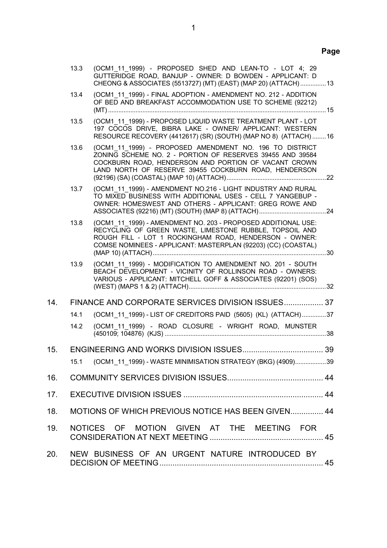# **Page**

|     | 13.3 | (OCM1 11 1999) - PROPOSED SHED AND LEAN-TO - LOT 4; 29<br>GUTTERIDGE ROAD, BANJUP - OWNER: D BOWDEN - APPLICANT: D<br>CHEONG & ASSOCIATES (5513727) (MT) (EAST) (MAP 20) (ATTACH)  13                                                               |  |
|-----|------|-----------------------------------------------------------------------------------------------------------------------------------------------------------------------------------------------------------------------------------------------------|--|
|     | 13.4 | (OCM1 11 1999) - FINAL ADOPTION - AMENDMENT NO. 212 - ADDITION<br>OF BED AND BREAKFAST ACCOMMODATION USE TO SCHEME (92212)                                                                                                                          |  |
|     | 13.5 | (OCM1 11 1999) - PROPOSED LIQUID WASTE TREATMENT PLANT - LOT<br>197 COCOS DRIVE, BIBRA LAKE - OWNER/ APPLICANT: WESTERN<br>RESOURCE RECOVERY (4412617) (SR) (SOUTH) (MAP NO 8) (ATTACH) 16                                                          |  |
|     | 13.6 | (OCM1 11 1999) - PROPOSED AMENDMENT NO. 196 TO DISTRICT<br>ZONING SCHEME NO. 2 - PORTION OF RESERVES 39455 AND 39584<br>COCKBURN ROAD, HENDERSON AND PORTION OF VACANT CROWN<br>LAND NORTH OF RESERVE 39455 COCKBURN ROAD, HENDERSON                |  |
|     | 13.7 | (OCM1_11_1999) - AMENDMENT NO.216 - LIGHT INDUSTRY AND RURAL<br>TO MIXED BUSINESS WITH ADDITIONAL USES - CELL 7 YANGEBUP -<br>OWNER: HOMESWEST AND OTHERS - APPLICANT: GREG ROWE AND                                                                |  |
|     | 13.8 | (OCM1 11 1999) - AMENDMENT NO. 203 - PROPOSED ADDITIONAL USE:<br>RECYCLING OF GREEN WASTE, LIMESTONE RUBBLE, TOPSOIL AND<br>ROUGH FILL - LOT 1 ROCKINGHAM ROAD, HENDERSON - OWNER:<br>COMSE NOMINEES - APPLICANT: MASTERPLAN (92203) (CC) (COASTAL) |  |
|     | 13.9 | (OCM1 11 1999) - MODIFICATION TO AMENDMENT NO. 201 - SOUTH<br>BEACH DEVELOPMENT - VICINITY OF ROLLINSON ROAD - OWNERS:<br>VARIOUS - APPLICANT: MITCHELL GOFF & ASSOCIATES (92201) (SOS)                                                             |  |
| 14. |      | FINANCE AND CORPORATE SERVICES DIVISION ISSUES 37                                                                                                                                                                                                   |  |
|     | 14.1 | (OCM1_11_1999) - LIST OF CREDITORS PAID (5605) (KL) (ATTACH)37                                                                                                                                                                                      |  |
|     | 14.2 | (OCM1 11 1999) - ROAD CLOSURE - WRIGHT ROAD, MUNSTER                                                                                                                                                                                                |  |
| 15. |      |                                                                                                                                                                                                                                                     |  |
|     | 15.1 | (OCM1_11_1999) - WASTE MINIMISATION STRATEGY (BKG) (4909)39                                                                                                                                                                                         |  |
| 16. |      |                                                                                                                                                                                                                                                     |  |
| 17. |      |                                                                                                                                                                                                                                                     |  |
| 18. |      | MOTIONS OF WHICH PREVIOUS NOTICE HAS BEEN GIVEN 44                                                                                                                                                                                                  |  |
| 19. |      | NOTICES OF MOTION GIVEN AT THE MEETING FOR                                                                                                                                                                                                          |  |
| 20. |      | NEW BUSINESS OF AN URGENT NATURE INTRODUCED BY                                                                                                                                                                                                      |  |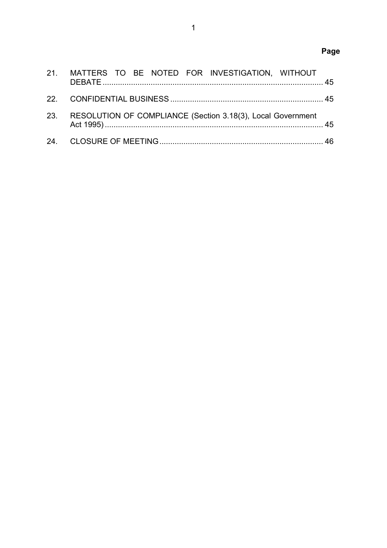| 21. MATTERS TO BE NOTED FOR INVESTIGATION, WITHOUT              |  |
|-----------------------------------------------------------------|--|
|                                                                 |  |
| 23. RESOLUTION OF COMPLIANCE (Section 3.18(3), Local Government |  |
|                                                                 |  |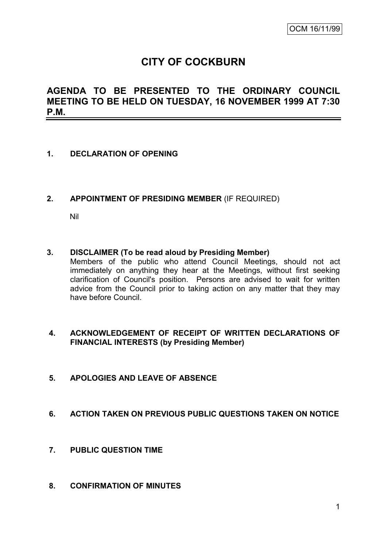# **CITY OF COCKBURN**

# **AGENDA TO BE PRESENTED TO THE ORDINARY COUNCIL MEETING TO BE HELD ON TUESDAY, 16 NOVEMBER 1999 AT 7:30 P.M.**

## **1. DECLARATION OF OPENING**

**2. APPOINTMENT OF PRESIDING MEMBER** (IF REQUIRED)

Nil

#### **3. DISCLAIMER (To be read aloud by Presiding Member)**

Members of the public who attend Council Meetings, should not act immediately on anything they hear at the Meetings, without first seeking clarification of Council's position. Persons are advised to wait for written advice from the Council prior to taking action on any matter that they may have before Council.

#### **4. ACKNOWLEDGEMENT OF RECEIPT OF WRITTEN DECLARATIONS OF FINANCIAL INTERESTS (by Presiding Member)**

- **5. APOLOGIES AND LEAVE OF ABSENCE**
- **6. ACTION TAKEN ON PREVIOUS PUBLIC QUESTIONS TAKEN ON NOTICE**
- **7. PUBLIC QUESTION TIME**
- **8. CONFIRMATION OF MINUTES**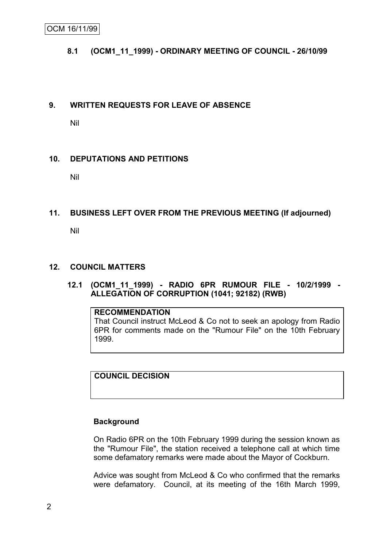## **8.1 (OCM1\_11\_1999) - ORDINARY MEETING OF COUNCIL - 26/10/99**

## **9. WRITTEN REQUESTS FOR LEAVE OF ABSENCE**

Nil

## **10. DEPUTATIONS AND PETITIONS**

Nil

## **11. BUSINESS LEFT OVER FROM THE PREVIOUS MEETING (If adjourned)**

Nil

## **12. COUNCIL MATTERS**

**12.1 (OCM1\_11\_1999) - RADIO 6PR RUMOUR FILE - 10/2/1999 - ALLEGATION OF CORRUPTION (1041; 92182) (RWB)**

#### **RECOMMENDATION**

That Council instruct McLeod & Co not to seek an apology from Radio 6PR for comments made on the "Rumour File" on the 10th February 1999.

**COUNCIL DECISION**

## **Background**

On Radio 6PR on the 10th February 1999 during the session known as the "Rumour File", the station received a telephone call at which time some defamatory remarks were made about the Mayor of Cockburn.

Advice was sought from McLeod & Co who confirmed that the remarks were defamatory. Council, at its meeting of the 16th March 1999,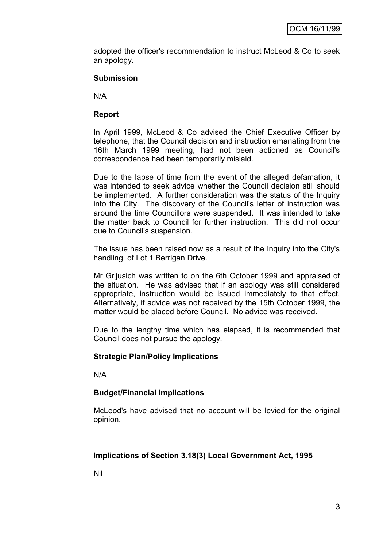adopted the officer's recommendation to instruct McLeod & Co to seek an apology.

## **Submission**

N/A

## **Report**

In April 1999, McLeod & Co advised the Chief Executive Officer by telephone, that the Council decision and instruction emanating from the 16th March 1999 meeting, had not been actioned as Council's correspondence had been temporarily mislaid.

Due to the lapse of time from the event of the alleged defamation, it was intended to seek advice whether the Council decision still should be implemented. A further consideration was the status of the Inquiry into the City. The discovery of the Council's letter of instruction was around the time Councillors were suspended. It was intended to take the matter back to Council for further instruction. This did not occur due to Council's suspension.

The issue has been raised now as a result of the Inquiry into the City's handling of Lot 1 Berrigan Drive.

Mr Grljusich was written to on the 6th October 1999 and appraised of the situation. He was advised that if an apology was still considered appropriate, instruction would be issued immediately to that effect. Alternatively, if advice was not received by the 15th October 1999, the matter would be placed before Council. No advice was received.

Due to the lengthy time which has elapsed, it is recommended that Council does not pursue the apology.

## **Strategic Plan/Policy Implications**

N/A

## **Budget/Financial Implications**

McLeod's have advised that no account will be levied for the original opinion.

## **Implications of Section 3.18(3) Local Government Act, 1995**

Nil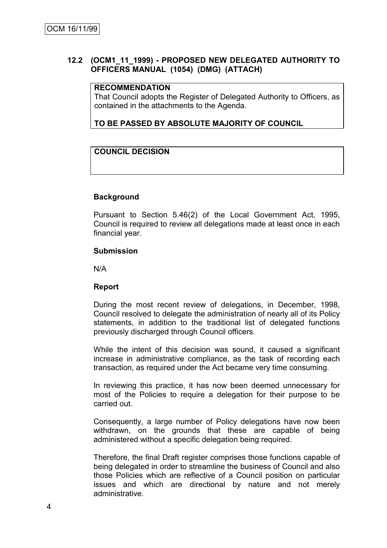## **12.2 (OCM1\_11\_1999) - PROPOSED NEW DELEGATED AUTHORITY TO OFFICERS MANUAL (1054) (DMG) (ATTACH)**

## **RECOMMENDATION**

That Council adopts the Register of Delegated Authority to Officers, as contained in the attachments to the Agenda.

**TO BE PASSED BY ABSOLUTE MAJORITY OF COUNCIL**

## **COUNCIL DECISION**

#### **Background**

Pursuant to Section 5.46(2) of the Local Government Act, 1995, Council is required to review all delegations made at least once in each financial year.

#### **Submission**

N/A

#### **Report**

During the most recent review of delegations, in December, 1998, Council resolved to delegate the administration of nearly all of its Policy statements, in addition to the traditional list of delegated functions previously discharged through Council officers.

While the intent of this decision was sound, it caused a significant increase in administrative compliance, as the task of recording each transaction, as required under the Act became very time consuming.

In reviewing this practice, it has now been deemed unnecessary for most of the Policies to require a delegation for their purpose to be carried out.

Consequently, a large number of Policy delegations have now been withdrawn, on the grounds that these are capable of being administered without a specific delegation being required.

Therefore, the final Draft register comprises those functions capable of being delegated in order to streamline the business of Council and also those Policies which are reflective of a Council position on particular issues and which are directional by nature and not merely administrative.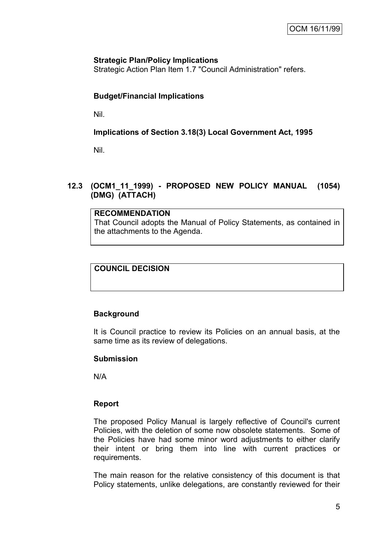## **Strategic Plan/Policy Implications**

Strategic Action Plan Item 1.7 "Council Administration" refers.

## **Budget/Financial Implications**

Nil.

## **Implications of Section 3.18(3) Local Government Act, 1995**

Nil.

# **12.3 (OCM1\_11\_1999) - PROPOSED NEW POLICY MANUAL (1054) (DMG) (ATTACH)**

## **RECOMMENDATION**

That Council adopts the Manual of Policy Statements, as contained in the attachments to the Agenda.

## **COUNCIL DECISION**

## **Background**

It is Council practice to review its Policies on an annual basis, at the same time as its review of delegations.

## **Submission**

N/A

## **Report**

The proposed Policy Manual is largely reflective of Council's current Policies, with the deletion of some now obsolete statements. Some of the Policies have had some minor word adjustments to either clarify their intent or bring them into line with current practices or requirements.

The main reason for the relative consistency of this document is that Policy statements, unlike delegations, are constantly reviewed for their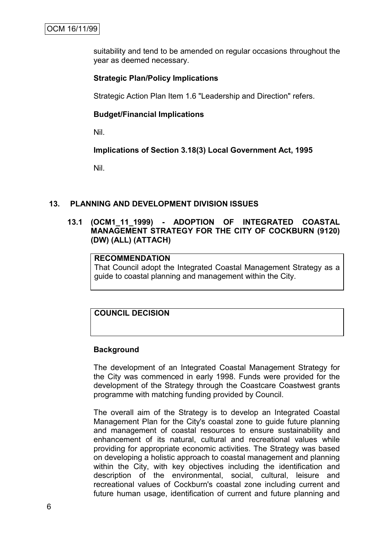suitability and tend to be amended on regular occasions throughout the year as deemed necessary.

## **Strategic Plan/Policy Implications**

Strategic Action Plan Item 1.6 "Leadership and Direction" refers.

## **Budget/Financial Implications**

Nil.

**Implications of Section 3.18(3) Local Government Act, 1995**

Nil.

## **13. PLANNING AND DEVELOPMENT DIVISION ISSUES**

## **13.1 (OCM1\_11\_1999) - ADOPTION OF INTEGRATED COASTAL MANAGEMENT STRATEGY FOR THE CITY OF COCKBURN (9120) (DW) (ALL) (ATTACH)**

#### **RECOMMENDATION**

That Council adopt the Integrated Coastal Management Strategy as a guide to coastal planning and management within the City.

# **COUNCIL DECISION**

## **Background**

The development of an Integrated Coastal Management Strategy for the City was commenced in early 1998. Funds were provided for the development of the Strategy through the Coastcare Coastwest grants programme with matching funding provided by Council.

The overall aim of the Strategy is to develop an Integrated Coastal Management Plan for the City's coastal zone to guide future planning and management of coastal resources to ensure sustainability and enhancement of its natural, cultural and recreational values while providing for appropriate economic activities. The Strategy was based on developing a holistic approach to coastal management and planning within the City, with key objectives including the identification and description of the environmental, social, cultural, leisure and recreational values of Cockburn's coastal zone including current and future human usage, identification of current and future planning and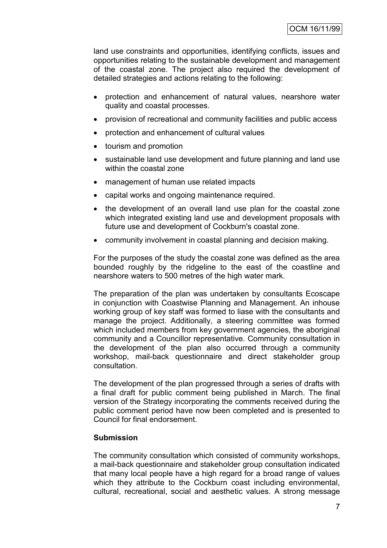land use constraints and opportunities, identifying conflicts, issues and opportunities relating to the sustainable development and management of the coastal zone. The project also required the development of detailed strategies and actions relating to the following:

- protection and enhancement of natural values, nearshore water quality and coastal processes.
- provision of recreational and community facilities and public access
- protection and enhancement of cultural values
- tourism and promotion
- sustainable land use development and future planning and land use within the coastal zone
- management of human use related impacts
- capital works and ongoing maintenance required.
- the development of an overall land use plan for the coastal zone which integrated existing land use and development proposals with future use and development of Cockburn's coastal zone.
- community involvement in coastal planning and decision making.

For the purposes of the study the coastal zone was defined as the area bounded roughly by the ridgeline to the east of the coastline and nearshore waters to 500 metres of the high water mark.

The preparation of the plan was undertaken by consultants Ecoscape in conjunction with Coastwise Planning and Management. An inhouse working group of key staff was formed to liase with the consultants and manage the project. Additionally, a steering committee was formed which included members from key government agencies, the aboriginal community and a Councillor representative. Community consultation in the development of the plan also occurred through a community workshop, mail-back questionnaire and direct stakeholder group consultation.

The development of the plan progressed through a series of drafts with a final draft for public comment being published in March. The final version of the Strategy incorporating the comments received during the public comment period have now been completed and is presented to Council for final endorsement.

#### **Submission**

The community consultation which consisted of community workshops, a mail-back questionnaire and stakeholder group consultation indicated that many local people have a high regard for a broad range of values which they attribute to the Cockburn coast including environmental, cultural, recreational, social and aesthetic values. A strong message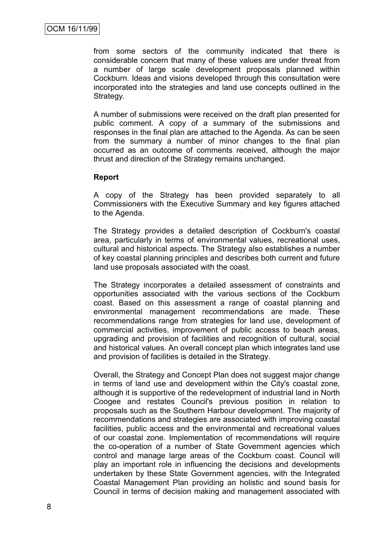from some sectors of the community indicated that there is considerable concern that many of these values are under threat from a number of large scale development proposals planned within Cockburn. Ideas and visions developed through this consultation were incorporated into the strategies and land use concepts outlined in the Strategy.

A number of submissions were received on the draft plan presented for public comment. A copy of a summary of the submissions and responses in the final plan are attached to the Agenda. As can be seen from the summary a number of minor changes to the final plan occurred as an outcome of comments received, although the major thrust and direction of the Strategy remains unchanged.

#### **Report**

A copy of the Strategy has been provided separately to all Commissioners with the Executive Summary and key figures attached to the Agenda.

The Strategy provides a detailed description of Cockburn's coastal area, particularly in terms of environmental values, recreational uses, cultural and historical aspects. The Strategy also establishes a number of key coastal planning principles and describes both current and future land use proposals associated with the coast.

The Strategy incorporates a detailed assessment of constraints and opportunities associated with the various sections of the Cockburn coast. Based on this assessment a range of coastal planning and environmental management recommendations are made. These recommendations range from strategies for land use, development of commercial activities, improvement of public access to beach areas, upgrading and provision of facilities and recognition of cultural, social and historical values. An overall concept plan which integrates land use and provision of facilities is detailed in the Strategy.

Overall, the Strategy and Concept Plan does not suggest major change in terms of land use and development within the City's coastal zone, although it is supportive of the redevelopment of industrial land in North Coogee and restates Council's previous position in relation to proposals such as the Southern Harbour development. The majority of recommendations and strategies are associated with improving coastal facilities, public access and the environmental and recreational values of our coastal zone. Implementation of recommendations will require the co-operation of a number of State Government agencies which control and manage large areas of the Cockburn coast. Council will play an important role in influencing the decisions and developments undertaken by these State Government agencies, with the Integrated Coastal Management Plan providing an holistic and sound basis for Council in terms of decision making and management associated with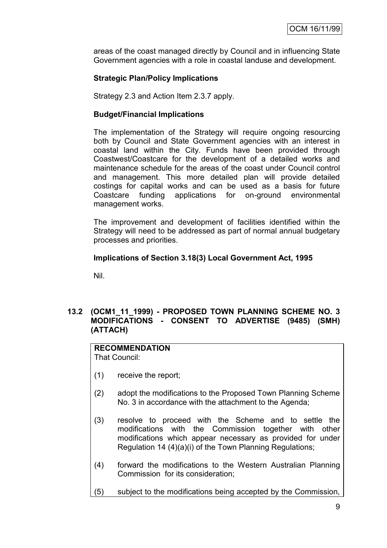areas of the coast managed directly by Council and in influencing State Government agencies with a role in coastal landuse and development.

## **Strategic Plan/Policy Implications**

Strategy 2.3 and Action Item 2.3.7 apply.

#### **Budget/Financial Implications**

The implementation of the Strategy will require ongoing resourcing both by Council and State Government agencies with an interest in coastal land within the City. Funds have been provided through Coastwest/Coastcare for the development of a detailed works and maintenance schedule for the areas of the coast under Council control and management. This more detailed plan will provide detailed costings for capital works and can be used as a basis for future Coastcare funding applications for on-ground environmental management works.

The improvement and development of facilities identified within the Strategy will need to be addressed as part of normal annual budgetary processes and priorities.

## **Implications of Section 3.18(3) Local Government Act, 1995**

Nil.

## **13.2 (OCM1\_11\_1999) - PROPOSED TOWN PLANNING SCHEME NO. 3 MODIFICATIONS - CONSENT TO ADVERTISE (9485) (SMH) (ATTACH)**

# **RECOMMENDATION**

That Council:

- (1) receive the report;
- (2) adopt the modifications to the Proposed Town Planning Scheme No. 3 in accordance with the attachment to the Agenda;
- (3) resolve to proceed with the Scheme and to settle the modifications with the Commission together with other modifications which appear necessary as provided for under Regulation 14 (4)(a)(i) of the Town Planning Regulations;
- (4) forward the modifications to the Western Australian Planning Commission for its consideration;
- (5) subject to the modifications being accepted by the Commission,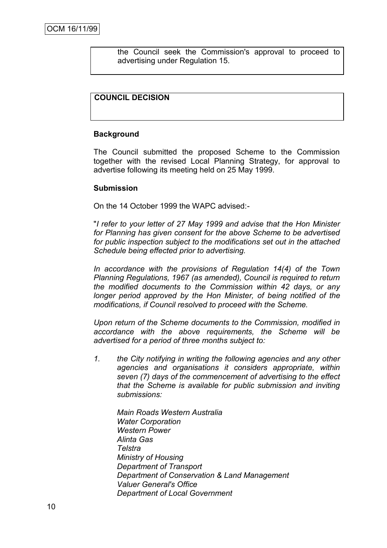the Council seek the Commission's approval to proceed to advertising under Regulation 15.

## **COUNCIL DECISION**

#### **Background**

The Council submitted the proposed Scheme to the Commission together with the revised Local Planning Strategy, for approval to advertise following its meeting held on 25 May 1999.

#### **Submission**

On the 14 October 1999 the WAPC advised:-

"*I refer to your letter of 27 May 1999 and advise that the Hon Minister for Planning has given consent for the above Scheme to be advertised for public inspection subject to the modifications set out in the attached Schedule being effected prior to advertising.*

*In accordance with the provisions of Regulation 14(4) of the Town Planning Regulations, 1967 (as amended), Council is required to return the modified documents to the Commission within 42 days, or any longer period approved by the Hon Minister, of being notified of the modifications, if Council resolved to proceed with the Scheme.*

*Upon return of the Scheme documents to the Commission, modified in accordance with the above requirements, the Scheme will be advertised for a period of three months subject to:*

*1. the City notifying in writing the following agencies and any other agencies and organisations it considers appropriate, within seven (7) days of the commencement of advertising to the effect that the Scheme is available for public submission and inviting submissions:*

*Main Roads Western Australia Water Corporation Western Power Alinta Gas Telstra Ministry of Housing Department of Transport Department of Conservation & Land Management Valuer General's Office Department of Local Government*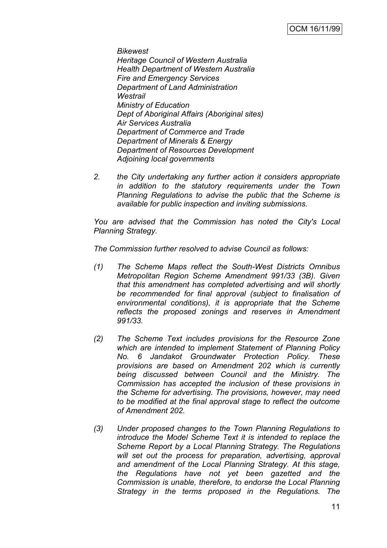*Bikewest Heritage Council of Western Australia Health Department of Western Australia Fire and Emergency Services Department of Land Administration Westrail Ministry of Education Dept of Aboriginal Affairs (Aboriginal sites) Air Services Australia Department of Commerce and Trade Department of Minerals & Energy Department of Resources Development Adjoining local governments*

*2. the City undertaking any further action it considers appropriate in addition to the statutory requirements under the Town Planning Regulations to advise the public that the Scheme is available for public inspection and inviting submissions.*

*You are advised that the Commission has noted the City's Local Planning Strategy.*

*The Commission further resolved to advise Council as follows:*

- *(1) The Scheme Maps reflect the South-West Districts Omnibus Metropolitan Region Scheme Amendment 991/33 (3B). Given that this amendment has completed advertising and will shortly be recommended for final approval (subject to finalisation of environmental conditions), it is appropriate that the Scheme reflects the proposed zonings and reserves in Amendment 991/33.*
- *(2) The Scheme Text includes provisions for the Resource Zone which are intended to implement Statement of Planning Policy No. 6 Jandakot Groundwater Protection Policy. These provisions are based on Amendment 202 which is currently being discussed between Council and the Ministry. The Commission has accepted the inclusion of these provisions in the Scheme for advertising. The provisions, however, may need to be modified at the final approval stage to reflect the outcome of Amendment 202.*
- *(3) Under proposed changes to the Town Planning Regulations to introduce the Model Scheme Text it is intended to replace the Scheme Report by a Local Planning Strategy. The Regulations will set out the process for preparation, advertising, approval and amendment of the Local Planning Strategy. At this stage, the Regulations have not yet been gazetted and the Commission is unable, therefore, to endorse the Local Planning Strategy in the terms proposed in the Regulations. The*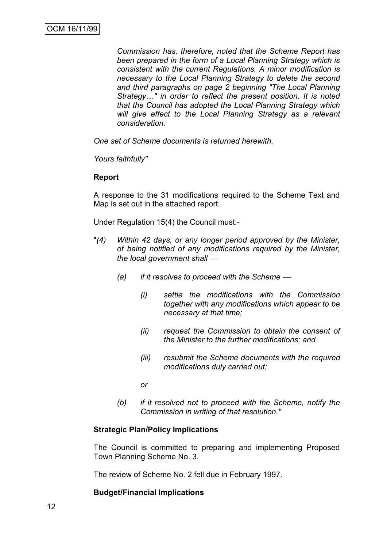*Commission has, therefore, noted that the Scheme Report has been prepared in the form of a Local Planning Strategy which is consistent with the current Regulations. A minor modification is necessary to the Local Planning Strategy to delete the second and third paragraphs on page 2 beginning "The Local Planning Strategy…" in order to reflect the present position. It is noted that the Council has adopted the Local Planning Strategy which will give effect to the Local Planning Strategy as a relevant consideration.*

*One set of Scheme documents is returned herewith.*

*Yours faithfully"*

## **Report**

A response to the 31 modifications required to the Scheme Text and Map is set out in the attached report.

Under Regulation 15(4) the Council must:-

- "*(4) Within 42 days, or any longer period approved by the Minister, of being notified of any modifications required by the Minister, the local government shall* 
	- *(a) if it resolves to proceed with the Scheme* 
		- *(i) settle the modifications with the Commission together with any modifications which appear to be necessary at that time;*
		- *(ii) request the Commission to obtain the consent of the Minister to the further modifications; and*
		- *(iii) resubmit the Scheme documents with the required modifications duly carried out;*
		- *or*
	- *(b) if it resolved not to proceed with the Scheme, notify the Commission in writing of that resolution."*

## **Strategic Plan/Policy Implications**

The Council is committed to preparing and implementing Proposed Town Planning Scheme No. 3.

The review of Scheme No. 2 fell due in February 1997.

## **Budget/Financial Implications**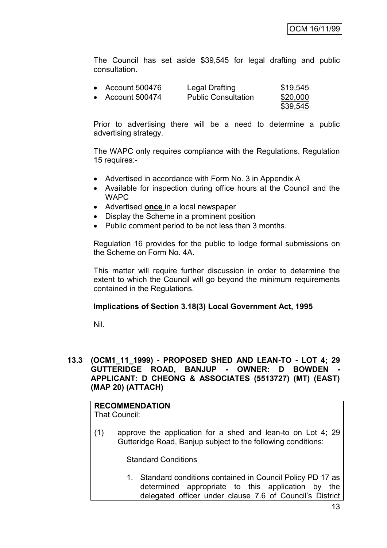The Council has set aside \$39,545 for legal drafting and public consultation.

| $\bullet$ Account 500476 | Legal Drafting             | \$19,545 |
|--------------------------|----------------------------|----------|
| • Account $500474$       | <b>Public Consultation</b> | \$20,000 |
|                          |                            | \$39,545 |

Prior to advertising there will be a need to determine a public advertising strategy.

The WAPC only requires compliance with the Regulations. Regulation 15 requires:-

- Advertised in accordance with Form No. 3 in Appendix A
- Available for inspection during office hours at the Council and the WAPC
- Advertised **once** in a local newspaper
- Display the Scheme in a prominent position
- Public comment period to be not less than 3 months.

Regulation 16 provides for the public to lodge formal submissions on the Scheme on Form No. 4A.

This matter will require further discussion in order to determine the extent to which the Council will go beyond the minimum requirements contained in the Regulations.

## **Implications of Section 3.18(3) Local Government Act, 1995**

Nil.

## **13.3 (OCM1\_11\_1999) - PROPOSED SHED AND LEAN-TO - LOT 4; 29 GUTTERIDGE ROAD, BANJUP - OWNER: D BOWDEN - APPLICANT: D CHEONG & ASSOCIATES (5513727) (MT) (EAST) (MAP 20) (ATTACH)**

# **RECOMMENDATION**

That Council:

(1) approve the application for a shed and lean-to on Lot 4; 29 Gutteridge Road, Banjup subject to the following conditions:

Standard Conditions

1. Standard conditions contained in Council Policy PD 17 as determined appropriate to this application by the delegated officer under clause 7.6 of Council"s District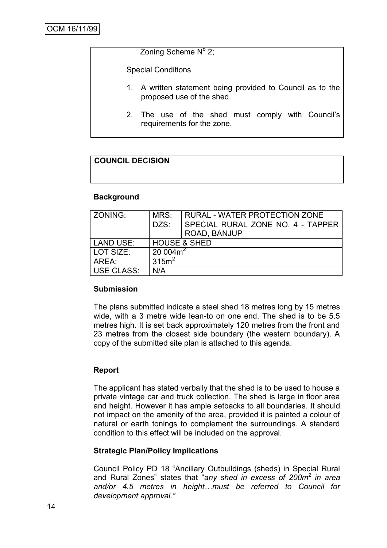Zoning Scheme Nº 2;

Special Conditions

- 1. A written statement being provided to Council as to the proposed use of the shed.
- 2. The use of the shed must comply with Council"s requirements for the zone.

## **COUNCIL DECISION**

#### **Background**

| ZONING:    | MRS:              | RURAL - WATER PROTECTION ZONE     |
|------------|-------------------|-----------------------------------|
|            | DZS:              | SPECIAL RURAL ZONE NO. 4 - TAPPER |
|            |                   | ROAD, BANJUP                      |
| LAND USE:  |                   | <b>HOUSE &amp; SHED</b>           |
| LOT SIZE:  | $20004m^2$        |                                   |
| AREA:      | 315m <sup>2</sup> |                                   |
| USE CLASS: | N/A               |                                   |

#### **Submission**

The plans submitted indicate a steel shed 18 metres long by 15 metres wide, with a 3 metre wide lean-to on one end. The shed is to be 5.5 metres high. It is set back approximately 120 metres from the front and 23 metres from the closest side boundary (the western boundary). A copy of the submitted site plan is attached to this agenda.

## **Report**

The applicant has stated verbally that the shed is to be used to house a private vintage car and truck collection. The shed is large in floor area and height. However it has ample setbacks to all boundaries. It should not impact on the amenity of the area, provided it is painted a colour of natural or earth tonings to complement the surroundings. A standard condition to this effect will be included on the approval.

#### **Strategic Plan/Policy Implications**

Council Policy PD 18 "Ancillary Outbuildings (sheds) in Special Rural and Rural Zones" states that "*any shed in excess of 200m<sup>2</sup> in area and/or 4.5 metres in height…must be referred to Council for development approval."*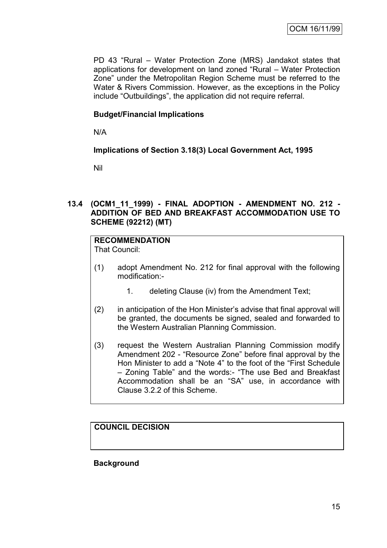PD 43 "Rural – Water Protection Zone (MRS) Jandakot states that applications for development on land zoned "Rural – Water Protection Zone" under the Metropolitan Region Scheme must be referred to the Water & Rivers Commission. However, as the exceptions in the Policy include "Outbuildings", the application did not require referral.

## **Budget/Financial Implications**

N/A

## **Implications of Section 3.18(3) Local Government Act, 1995**

Nil

## **13.4 (OCM1\_11\_1999) - FINAL ADOPTION - AMENDMENT NO. 212 - ADDITION OF BED AND BREAKFAST ACCOMMODATION USE TO SCHEME (92212) (MT)**

## **RECOMMENDATION**

That Council:

- (1) adopt Amendment No. 212 for final approval with the following modification:-
	- 1. deleting Clause (iv) from the Amendment Text;
- (2) in anticipation of the Hon Minister"s advise that final approval will be granted, the documents be signed, sealed and forwarded to the Western Australian Planning Commission.
- (3) request the Western Australian Planning Commission modify Amendment 202 - "Resource Zone" before final approval by the Hon Minister to add a "Note 4" to the foot of the "First Schedule – Zoning Table" and the words:- "The use Bed and Breakfast Accommodation shall be an "SA" use, in accordance with Clause 3.2.2 of this Scheme.

# **COUNCIL DECISION**

## **Background**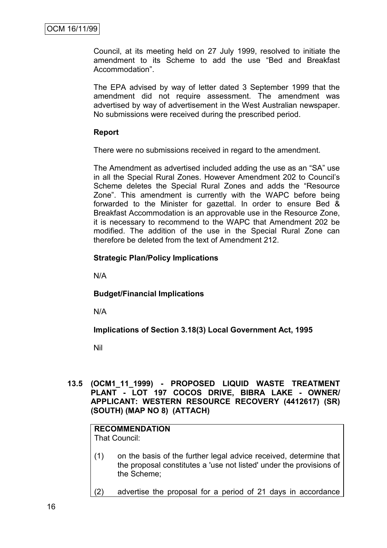Council, at its meeting held on 27 July 1999, resolved to initiate the amendment to its Scheme to add the use "Bed and Breakfast Accommodation".

The EPA advised by way of letter dated 3 September 1999 that the amendment did not require assessment. The amendment was advertised by way of advertisement in the West Australian newspaper. No submissions were received during the prescribed period.

## **Report**

There were no submissions received in regard to the amendment.

The Amendment as advertised included adding the use as an "SA" use in all the Special Rural Zones. However Amendment 202 to Council"s Scheme deletes the Special Rural Zones and adds the "Resource Zone". This amendment is currently with the WAPC before being forwarded to the Minister for gazettal. In order to ensure Bed & Breakfast Accommodation is an approvable use in the Resource Zone, it is necessary to recommend to the WAPC that Amendment 202 be modified. The addition of the use in the Special Rural Zone can therefore be deleted from the text of Amendment 212.

## **Strategic Plan/Policy Implications**

N/A

## **Budget/Financial Implications**

N/A

**Implications of Section 3.18(3) Local Government Act, 1995**

Nil

## **13.5 (OCM1\_11\_1999) - PROPOSED LIQUID WASTE TREATMENT PLANT - LOT 197 COCOS DRIVE, BIBRA LAKE - OWNER/ APPLICANT: WESTERN RESOURCE RECOVERY (4412617) (SR) (SOUTH) (MAP NO 8) (ATTACH)**

# **RECOMMENDATION**

That Council:

- (1) on the basis of the further legal advice received, determine that the proposal constitutes a 'use not listed' under the provisions of the Scheme;
- (2) advertise the proposal for a period of 21 days in accordance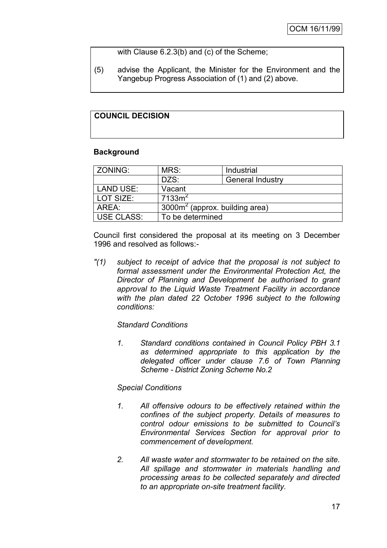with Clause 6.2.3(b) and (c) of the Scheme;

(5) advise the Applicant, the Minister for the Environment and the Yangebup Progress Association of (1) and (2) above.

## **COUNCIL DECISION**

## **Background**

| ZONING:           | MRS:                                       | Industrial              |  |
|-------------------|--------------------------------------------|-------------------------|--|
|                   | DZS:                                       | <b>General Industry</b> |  |
| <b>LAND USE:</b>  | Vacant                                     |                         |  |
| LOT SIZE:         | 7133m <sup>2</sup>                         |                         |  |
| AREA:             | 3000m <sup>2</sup> (approx. building area) |                         |  |
| <b>USE CLASS:</b> | To be determined                           |                         |  |

Council first considered the proposal at its meeting on 3 December 1996 and resolved as follows:-

*"(1) subject to receipt of advice that the proposal is not subject to formal assessment under the Environmental Protection Act, the Director of Planning and Development be authorised to grant approval to the Liquid Waste Treatment Facility in accordance with the plan dated 22 October 1996 subject to the following conditions:*

## *Standard Conditions*

*1. Standard conditions contained in Council Policy PBH 3.1 as determined appropriate to this application by the delegated officer under clause 7.6 of Town Planning Scheme - District Zoning Scheme No.2*

## *Special Conditions*

- *1. All offensive odours to be effectively retained within the confines of the subject property. Details of measures to control odour emissions to be submitted to Council's Environmental Services Section for approval prior to commencement of development.*
- *2. All waste water and stormwater to be retained on the site. All spillage and stormwater in materials handling and processing areas to be collected separately and directed to an appropriate on-site treatment facility.*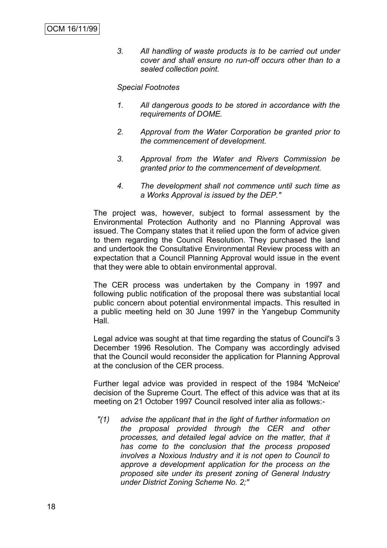*3. All handling of waste products is to be carried out under cover and shall ensure no run-off occurs other than to a sealed collection point.*

#### *Special Footnotes*

- *1. All dangerous goods to be stored in accordance with the requirements of DOME.*
- *2. Approval from the Water Corporation be granted prior to the commencement of development.*
- *3. Approval from the Water and Rivers Commission be granted prior to the commencement of development.*
- *4. The development shall not commence until such time as a Works Approval is issued by the DEP."*

The project was, however, subject to formal assessment by the Environmental Protection Authority and no Planning Approval was issued. The Company states that it relied upon the form of advice given to them regarding the Council Resolution. They purchased the land and undertook the Consultative Environmental Review process with an expectation that a Council Planning Approval would issue in the event that they were able to obtain environmental approval.

The CER process was undertaken by the Company in 1997 and following public notification of the proposal there was substantial local public concern about potential environmental impacts. This resulted in a public meeting held on 30 June 1997 in the Yangebup Community Hall.

Legal advice was sought at that time regarding the status of Council's 3 December 1996 Resolution. The Company was accordingly advised that the Council would reconsider the application for Planning Approval at the conclusion of the CER process.

Further legal advice was provided in respect of the 1984 'McNeice' decision of the Supreme Court. The effect of this advice was that at its meeting on 21 October 1997 Council resolved inter alia as follows:-

*"(1) advise the applicant that in the light of further information on the proposal provided through the CER and other processes, and detailed legal advice on the matter, that it has come to the conclusion that the process proposed involves a Noxious Industry and it is not open to Council to approve a development application for the process on the proposed site under its present zoning of General Industry under District Zoning Scheme No. 2;"*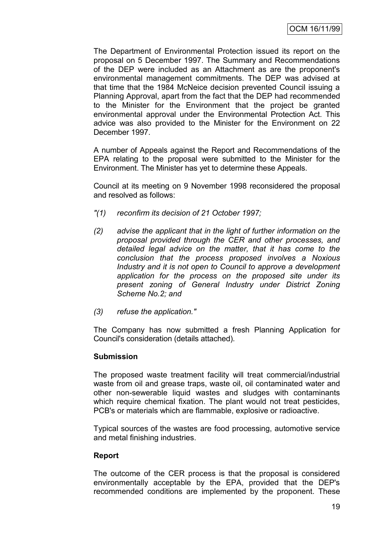The Department of Environmental Protection issued its report on the proposal on 5 December 1997. The Summary and Recommendations of the DEP were included as an Attachment as are the proponent's environmental management commitments. The DEP was advised at that time that the 1984 McNeice decision prevented Council issuing a Planning Approval, apart from the fact that the DEP had recommended to the Minister for the Environment that the project be granted environmental approval under the Environmental Protection Act. This advice was also provided to the Minister for the Environment on 22 December 1997.

A number of Appeals against the Report and Recommendations of the EPA relating to the proposal were submitted to the Minister for the Environment. The Minister has yet to determine these Appeals.

Council at its meeting on 9 November 1998 reconsidered the proposal and resolved as follows:

- *"(1) reconfirm its decision of 21 October 1997;*
- *(2) advise the applicant that in the light of further information on the proposal provided through the CER and other processes, and detailed legal advice on the matter, that it has come to the conclusion that the process proposed involves a Noxious Industry and it is not open to Council to approve a development application for the process on the proposed site under its present zoning of General Industry under District Zoning Scheme No.2; and*
- *(3) refuse the application."*

The Company has now submitted a fresh Planning Application for Council's consideration (details attached).

## **Submission**

The proposed waste treatment facility will treat commercial/industrial waste from oil and grease traps, waste oil, oil contaminated water and other non-sewerable liquid wastes and sludges with contaminants which require chemical fixation. The plant would not treat pesticides, PCB's or materials which are flammable, explosive or radioactive.

Typical sources of the wastes are food processing, automotive service and metal finishing industries.

## **Report**

The outcome of the CER process is that the proposal is considered environmentally acceptable by the EPA, provided that the DEP's recommended conditions are implemented by the proponent. These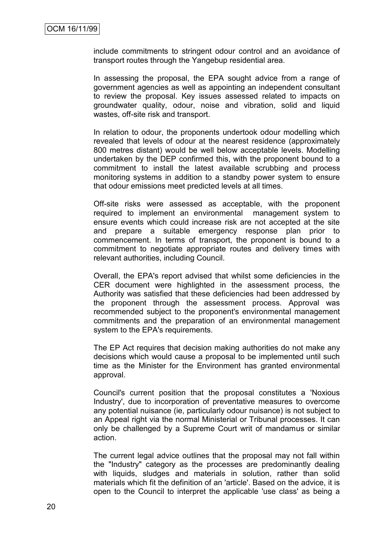include commitments to stringent odour control and an avoidance of transport routes through the Yangebup residential area.

In assessing the proposal, the EPA sought advice from a range of government agencies as well as appointing an independent consultant to review the proposal. Key issues assessed related to impacts on groundwater quality, odour, noise and vibration, solid and liquid wastes, off-site risk and transport.

In relation to odour, the proponents undertook odour modelling which revealed that levels of odour at the nearest residence (approximately 800 metres distant) would be well below acceptable levels. Modelling undertaken by the DEP confirmed this, with the proponent bound to a commitment to install the latest available scrubbing and process monitoring systems in addition to a standby power system to ensure that odour emissions meet predicted levels at all times.

Off-site risks were assessed as acceptable, with the proponent required to implement an environmental management system to ensure events which could increase risk are not accepted at the site and prepare a suitable emergency response plan prior to commencement. In terms of transport, the proponent is bound to a commitment to negotiate appropriate routes and delivery times with relevant authorities, including Council.

Overall, the EPA's report advised that whilst some deficiencies in the CER document were highlighted in the assessment process, the Authority was satisfied that these deficiencies had been addressed by the proponent through the assessment process. Approval was recommended subject to the proponent's environmental management commitments and the preparation of an environmental management system to the EPA's requirements.

The EP Act requires that decision making authorities do not make any decisions which would cause a proposal to be implemented until such time as the Minister for the Environment has granted environmental approval.

Council's current position that the proposal constitutes a 'Noxious Industry', due to incorporation of preventative measures to overcome any potential nuisance (ie, particularly odour nuisance) is not subject to an Appeal right via the normal Ministerial or Tribunal processes. It can only be challenged by a Supreme Court writ of mandamus or similar action.

The current legal advice outlines that the proposal may not fall within the "Industry" category as the processes are predominantly dealing with liquids, sludges and materials in solution, rather than solid materials which fit the definition of an 'article'. Based on the advice, it is open to the Council to interpret the applicable 'use class' as being a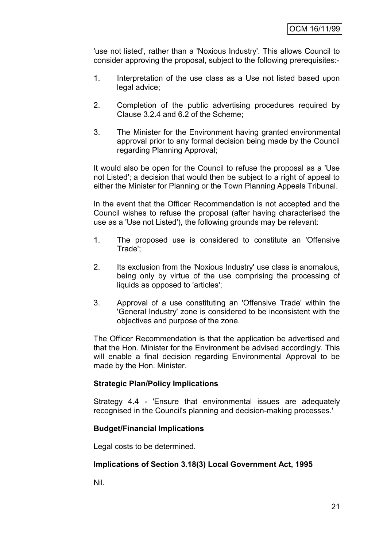'use not listed', rather than a 'Noxious Industry'. This allows Council to consider approving the proposal, subject to the following prerequisites:-

- 1. Interpretation of the use class as a Use not listed based upon legal advice;
- 2. Completion of the public advertising procedures required by Clause 3.2.4 and 6.2 of the Scheme;
- 3. The Minister for the Environment having granted environmental approval prior to any formal decision being made by the Council regarding Planning Approval;

It would also be open for the Council to refuse the proposal as a 'Use not Listed'; a decision that would then be subject to a right of appeal to either the Minister for Planning or the Town Planning Appeals Tribunal.

In the event that the Officer Recommendation is not accepted and the Council wishes to refuse the proposal (after having characterised the use as a 'Use not Listed'), the following grounds may be relevant:

- 1. The proposed use is considered to constitute an 'Offensive Trade';
- 2. Its exclusion from the 'Noxious Industry' use class is anomalous, being only by virtue of the use comprising the processing of liquids as opposed to 'articles';
- 3. Approval of a use constituting an 'Offensive Trade' within the 'General Industry' zone is considered to be inconsistent with the objectives and purpose of the zone.

The Officer Recommendation is that the application be advertised and that the Hon. Minister for the Environment be advised accordingly. This will enable a final decision regarding Environmental Approval to be made by the Hon. Minister.

# **Strategic Plan/Policy Implications**

Strategy 4.4 - 'Ensure that environmental issues are adequately recognised in the Council's planning and decision-making processes.'

# **Budget/Financial Implications**

Legal costs to be determined.

# **Implications of Section 3.18(3) Local Government Act, 1995**

Nil.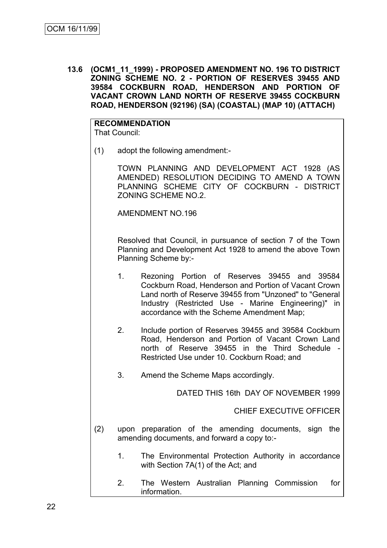**13.6 (OCM1\_11\_1999) - PROPOSED AMENDMENT NO. 196 TO DISTRICT ZONING SCHEME NO. 2 - PORTION OF RESERVES 39455 AND 39584 COCKBURN ROAD, HENDERSON AND PORTION OF VACANT CROWN LAND NORTH OF RESERVE 39455 COCKBURN ROAD, HENDERSON (92196) (SA) (COASTAL) (MAP 10) (ATTACH)**

# **RECOMMENDATION**

That Council:

(1) adopt the following amendment:-

TOWN PLANNING AND DEVELOPMENT ACT 1928 (AS AMENDED) RESOLUTION DECIDING TO AMEND A TOWN PLANNING SCHEME CITY OF COCKBURN - DISTRICT ZONING SCHEME NO.2.

AMENDMENT NO.196

Resolved that Council, in pursuance of section 7 of the Town Planning and Development Act 1928 to amend the above Town Planning Scheme by:-

- 1. Rezoning Portion of Reserves 39455 and 39584 Cockburn Road, Henderson and Portion of Vacant Crown Land north of Reserve 39455 from "Unzoned" to "General Industry (Restricted Use - Marine Engineering)" in accordance with the Scheme Amendment Map;
- 2. Include portion of Reserves 39455 and 39584 Cockburn Road, Henderson and Portion of Vacant Crown Land north of Reserve 39455 in the Third Schedule - Restricted Use under 10. Cockburn Road; and
- 3. Amend the Scheme Maps accordingly.

DATED THIS 16th DAY OF NOVEMBER 1999

CHIEF EXECUTIVE OFFICER

- (2) upon preparation of the amending documents, sign the amending documents, and forward a copy to:-
	- 1. The Environmental Protection Authority in accordance with Section 7A(1) of the Act; and
	- 2. The Western Australian Planning Commission for information.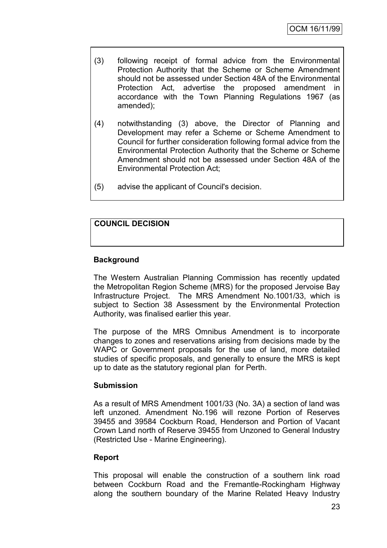- (3) following receipt of formal advice from the Environmental Protection Authority that the Scheme or Scheme Amendment should not be assessed under Section 48A of the Environmental Protection Act, advertise the proposed amendment in accordance with the Town Planning Regulations 1967 (as amended);
- (4) notwithstanding (3) above, the Director of Planning and Development may refer a Scheme or Scheme Amendment to Council for further consideration following formal advice from the Environmental Protection Authority that the Scheme or Scheme Amendment should not be assessed under Section 48A of the Environmental Protection Act;
- (5) advise the applicant of Council's decision.

# **COUNCIL DECISION**

## **Background**

The Western Australian Planning Commission has recently updated the Metropolitan Region Scheme (MRS) for the proposed Jervoise Bay Infrastructure Project. The MRS Amendment No.1001/33, which is subject to Section 38 Assessment by the Environmental Protection Authority, was finalised earlier this year.

The purpose of the MRS Omnibus Amendment is to incorporate changes to zones and reservations arising from decisions made by the WAPC or Government proposals for the use of land, more detailed studies of specific proposals, and generally to ensure the MRS is kept up to date as the statutory regional plan for Perth.

## **Submission**

As a result of MRS Amendment 1001/33 (No. 3A) a section of land was left unzoned. Amendment No.196 will rezone Portion of Reserves 39455 and 39584 Cockburn Road, Henderson and Portion of Vacant Crown Land north of Reserve 39455 from Unzoned to General Industry (Restricted Use - Marine Engineering).

## **Report**

This proposal will enable the construction of a southern link road between Cockburn Road and the Fremantle-Rockingham Highway along the southern boundary of the Marine Related Heavy Industry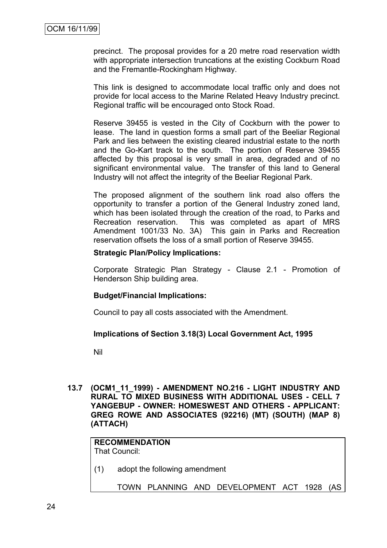precinct. The proposal provides for a 20 metre road reservation width with appropriate intersection truncations at the existing Cockburn Road and the Fremantle-Rockingham Highway.

This link is designed to accommodate local traffic only and does not provide for local access to the Marine Related Heavy Industry precinct. Regional traffic will be encouraged onto Stock Road.

Reserve 39455 is vested in the City of Cockburn with the power to lease. The land in question forms a small part of the Beeliar Regional Park and lies between the existing cleared industrial estate to the north and the Go-Kart track to the south. The portion of Reserve 39455 affected by this proposal is very small in area, degraded and of no significant environmental value. The transfer of this land to General Industry will not affect the integrity of the Beeliar Regional Park.

The proposed alignment of the southern link road also offers the opportunity to transfer a portion of the General Industry zoned land, which has been isolated through the creation of the road, to Parks and Recreation reservation. This was completed as apart of MRS Amendment 1001/33 No. 3A) This gain in Parks and Recreation reservation offsets the loss of a small portion of Reserve 39455.

#### **Strategic Plan/Policy Implications:**

Corporate Strategic Plan Strategy - Clause 2.1 - Promotion of Henderson Ship building area.

## **Budget/Financial Implications:**

Council to pay all costs associated with the Amendment.

## **Implications of Section 3.18(3) Local Government Act, 1995**

Nil

**13.7 (OCM1\_11\_1999) - AMENDMENT NO.216 - LIGHT INDUSTRY AND RURAL TO MIXED BUSINESS WITH ADDITIONAL USES - CELL 7 YANGEBUP - OWNER: HOMESWEST AND OTHERS - APPLICANT: GREG ROWE AND ASSOCIATES (92216) (MT) (SOUTH) (MAP 8) (ATTACH)**

#### **RECOMMENDATION** That Council:

(1) adopt the following amendment

TOWN PLANNING AND DEVELOPMENT ACT 1928 (AS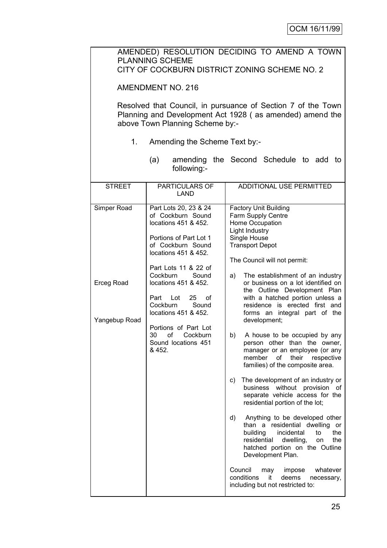| AMENDED) RESOLUTION DECIDING TO AMEND A TOWN<br><b>PLANNING SCHEME</b><br>CITY OF COCKBURN DISTRICT ZONING SCHEME NO. 2 |                                                                                                                                                                   |                                                                                                                                                                                                                                    |  |  |  |  |
|-------------------------------------------------------------------------------------------------------------------------|-------------------------------------------------------------------------------------------------------------------------------------------------------------------|------------------------------------------------------------------------------------------------------------------------------------------------------------------------------------------------------------------------------------|--|--|--|--|
| <b>AMENDMENT NO. 216</b>                                                                                                |                                                                                                                                                                   |                                                                                                                                                                                                                                    |  |  |  |  |
|                                                                                                                         | Resolved that Council, in pursuance of Section 7 of the Town<br>Planning and Development Act 1928 (as amended) amend the<br>above Town Planning Scheme by:-       |                                                                                                                                                                                                                                    |  |  |  |  |
| 1.                                                                                                                      | Amending the Scheme Text by:-                                                                                                                                     |                                                                                                                                                                                                                                    |  |  |  |  |
|                                                                                                                         | (a)<br>following:-                                                                                                                                                | amending the Second Schedule to add<br>to                                                                                                                                                                                          |  |  |  |  |
| <b>STREET</b>                                                                                                           | PARTICULARS OF<br><b>LAND</b>                                                                                                                                     | ADDITIONAL USE PERMITTED                                                                                                                                                                                                           |  |  |  |  |
| Simper Road                                                                                                             | Part Lots 20, 23 & 24<br>of Cockburn Sound<br>locations 451 & 452.<br>Portions of Part Lot 1<br>of Cockburn Sound<br>locations 451 & 452.<br>Part Lots 11 & 22 of | <b>Factory Unit Building</b><br>Farm Supply Centre<br>Home Occupation<br>Light Industry<br>Single House<br><b>Transport Depot</b><br>The Council will not permit:                                                                  |  |  |  |  |
| <b>Erceg Road</b><br>Yangebup Road                                                                                      | Cockburn<br>Sound<br>locations 451 & 452.<br>Part<br>Lot<br>25<br>οf<br>Cockburn<br>Sound<br>locations 451 & 452.                                                 | The establishment of an industry<br>a)<br>or business on a lot identified on<br>the Outline Development Plan<br>with a hatched portion unless a<br>residence is erected first and<br>forms an integral part of the<br>development; |  |  |  |  |
|                                                                                                                         | Portions of Part Lot<br>30<br>οf<br>Cockburn<br>Sound locations 451<br>& 452.                                                                                     | A house to be occupied by any<br>b)<br>person other than the owner,<br>manager or an employee (or any<br>member<br>οf<br>their<br>respective<br>families) of the composite area.                                                   |  |  |  |  |
|                                                                                                                         |                                                                                                                                                                   | The development of an industry or<br>c)<br>without provision<br>business<br>of<br>separate vehicle access for the<br>residential portion of the lot;                                                                               |  |  |  |  |
|                                                                                                                         |                                                                                                                                                                   | d)<br>Anything to be developed other<br>than a residential dwelling or<br>to<br>the<br>building<br>incidental<br>residential<br>dwelling,<br>the<br>on<br>hatched portion on the Outline<br>Development Plan.                      |  |  |  |  |
|                                                                                                                         |                                                                                                                                                                   | Council<br>whatever<br>may<br>impose<br>conditions<br>it<br>deems<br>necessary,<br>including but not restricted to:                                                                                                                |  |  |  |  |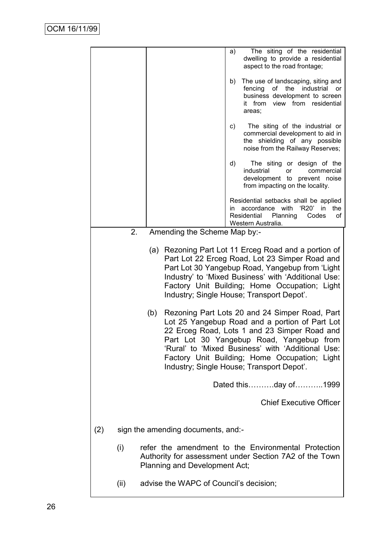|      |                                        | a)  | The siting of the residential<br>dwelling to provide a residential<br>aspect to the road frontage;                                                                                                                                                                                                                                              |
|------|----------------------------------------|-----|-------------------------------------------------------------------------------------------------------------------------------------------------------------------------------------------------------------------------------------------------------------------------------------------------------------------------------------------------|
|      |                                        | b)  | The use of landscaping, siting and<br>fencing of the industrial<br>or<br>business development to screen<br>it from view from residential<br>areas;                                                                                                                                                                                              |
|      |                                        | C)  | The siting of the industrial or<br>commercial development to aid in<br>the shielding of any possible<br>noise from the Railway Reserves;                                                                                                                                                                                                        |
|      |                                        | d)  | The siting or design of the<br>industrial<br>commercial<br>or<br>development to prevent noise<br>from impacting on the locality.                                                                                                                                                                                                                |
|      |                                        | in. | Residential setbacks shall be applied<br>accordance with<br>$'R20'$ in<br>the<br>Residential Planning<br>Codes<br>οf<br>Western Australia.                                                                                                                                                                                                      |
| 2.   | Amending the Scheme Map by:-           |     |                                                                                                                                                                                                                                                                                                                                                 |
|      |                                        |     | (a) Rezoning Part Lot 11 Erceg Road and a portion of<br>Part Lot 22 Erceg Road, Lot 23 Simper Road and<br>Part Lot 30 Yangebup Road, Yangebup from 'Light<br>Industry' to 'Mixed Business' with 'Additional Use:<br>Factory Unit Building; Home Occupation; Light<br>Industry; Single House; Transport Depot'.                                  |
| (b)  |                                        |     | Rezoning Part Lots 20 and 24 Simper Road, Part<br>Lot 25 Yangebup Road and a portion of Part Lot<br>22 Erceg Road, Lots 1 and 23 Simper Road and<br>Part Lot 30 Yangebup Road, Yangebup from<br>'Rural' to 'Mixed Business' with 'Additional Use:<br>Factory Unit Building; Home Occupation; Light<br>Industry; Single House; Transport Depot'. |
|      |                                        |     | Dated thisday of1999                                                                                                                                                                                                                                                                                                                            |
|      |                                        |     | <b>Chief Executive Officer</b>                                                                                                                                                                                                                                                                                                                  |
| (2)  | sign the amending documents, and:-     |     |                                                                                                                                                                                                                                                                                                                                                 |
| (i)  | Planning and Development Act;          |     | refer the amendment to the Environmental Protection<br>Authority for assessment under Section 7A2 of the Town                                                                                                                                                                                                                                   |
| (ii) | advise the WAPC of Council's decision; |     |                                                                                                                                                                                                                                                                                                                                                 |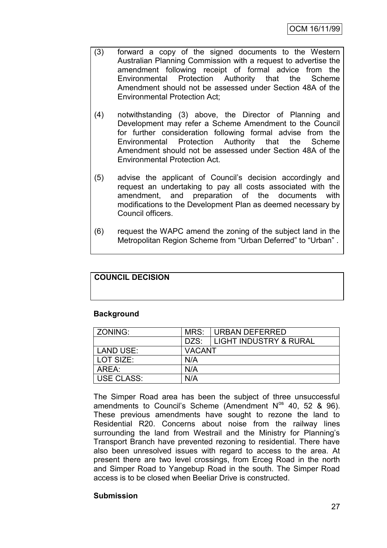- (3) forward a copy of the signed documents to the Western Australian Planning Commission with a request to advertise the amendment following receipt of formal advice from the Environmental Protection Authority that the Scheme Amendment should not be assessed under Section 48A of the Environmental Protection Act;
- (4) notwithstanding (3) above, the Director of Planning and Development may refer a Scheme Amendment to the Council for further consideration following formal advise from the Environmental Protection Authority that the Scheme Amendment should not be assessed under Section 48A of the Environmental Protection Act.
- (5) advise the applicant of Council"s decision accordingly and request an undertaking to pay all costs associated with the amendment, and preparation of the documents with modifications to the Development Plan as deemed necessary by Council officers.
- (6) request the WAPC amend the zoning of the subject land in the Metropolitan Region Scheme from "Urban Deferred" to "Urban" .

## **COUNCIL DECISION**

#### **Background**

| <b>ZONING:</b> | MRS:          | URBAN DEFERRED                    |
|----------------|---------------|-----------------------------------|
|                | DZS:          | <b>LIGHT INDUSTRY &amp; RURAL</b> |
| LAND USE:      | <b>VACANT</b> |                                   |
| LOT SIZE:      | N/A           |                                   |
| AREA:          | N/A           |                                   |
| USE CLASS:     | N/A           |                                   |

The Simper Road area has been the subject of three unsuccessful amendments to Council's Scheme (Amendment  $N^{\circ s}$  40, 52 & 96). These previous amendments have sought to rezone the land to Residential R20. Concerns about noise from the railway lines surrounding the land from Westrail and the Ministry for Planning's Transport Branch have prevented rezoning to residential. There have also been unresolved issues with regard to access to the area. At present there are two level crossings, from Erceg Road in the north and Simper Road to Yangebup Road in the south. The Simper Road access is to be closed when Beeliar Drive is constructed.

#### **Submission**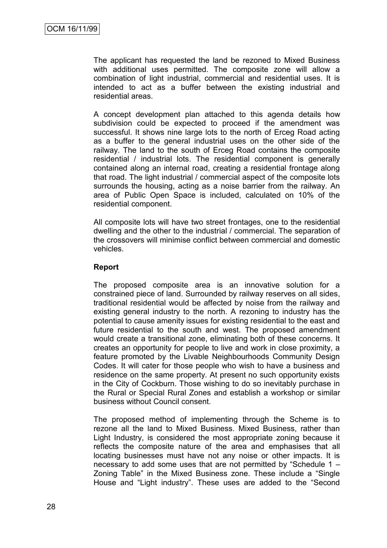The applicant has requested the land be rezoned to Mixed Business with additional uses permitted. The composite zone will allow a combination of light industrial, commercial and residential uses. It is intended to act as a buffer between the existing industrial and residential areas.

A concept development plan attached to this agenda details how subdivision could be expected to proceed if the amendment was successful. It shows nine large lots to the north of Erceg Road acting as a buffer to the general industrial uses on the other side of the railway. The land to the south of Erceg Road contains the composite residential / industrial lots. The residential component is generally contained along an internal road, creating a residential frontage along that road. The light industrial / commercial aspect of the composite lots surrounds the housing, acting as a noise barrier from the railway. An area of Public Open Space is included, calculated on 10% of the residential component.

All composite lots will have two street frontages, one to the residential dwelling and the other to the industrial / commercial. The separation of the crossovers will minimise conflict between commercial and domestic vehicles.

## **Report**

The proposed composite area is an innovative solution for a constrained piece of land. Surrounded by railway reserves on all sides, traditional residential would be affected by noise from the railway and existing general industry to the north. A rezoning to industry has the potential to cause amenity issues for existing residential to the east and future residential to the south and west. The proposed amendment would create a transitional zone, eliminating both of these concerns. It creates an opportunity for people to live and work in close proximity, a feature promoted by the Livable Neighbourhoods Community Design Codes. It will cater for those people who wish to have a business and residence on the same property. At present no such opportunity exists in the City of Cockburn. Those wishing to do so inevitably purchase in the Rural or Special Rural Zones and establish a workshop or similar business without Council consent.

The proposed method of implementing through the Scheme is to rezone all the land to Mixed Business. Mixed Business, rather than Light Industry, is considered the most appropriate zoning because it reflects the composite nature of the area and emphasises that all locating businesses must have not any noise or other impacts. It is necessary to add some uses that are not permitted by "Schedule 1 – Zoning Table" in the Mixed Business zone. These include a "Single House and "Light industry". These uses are added to the "Second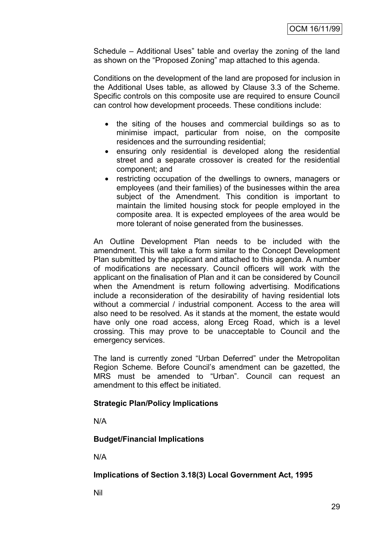Schedule – Additional Uses" table and overlay the zoning of the land as shown on the "Proposed Zoning" map attached to this agenda.

Conditions on the development of the land are proposed for inclusion in the Additional Uses table, as allowed by Clause 3.3 of the Scheme. Specific controls on this composite use are required to ensure Council can control how development proceeds. These conditions include:

- the siting of the houses and commercial buildings so as to minimise impact, particular from noise, on the composite residences and the surrounding residential;
- ensuring only residential is developed along the residential street and a separate crossover is created for the residential component; and
- restricting occupation of the dwellings to owners, managers or employees (and their families) of the businesses within the area subject of the Amendment. This condition is important to maintain the limited housing stock for people employed in the composite area. It is expected employees of the area would be more tolerant of noise generated from the businesses.

An Outline Development Plan needs to be included with the amendment. This will take a form similar to the Concept Development Plan submitted by the applicant and attached to this agenda. A number of modifications are necessary. Council officers will work with the applicant on the finalisation of Plan and it can be considered by Council when the Amendment is return following advertising. Modifications include a reconsideration of the desirability of having residential lots without a commercial / industrial component. Access to the area will also need to be resolved. As it stands at the moment, the estate would have only one road access, along Erceg Road, which is a level crossing. This may prove to be unacceptable to Council and the emergency services.

The land is currently zoned "Urban Deferred" under the Metropolitan Region Scheme. Before Council"s amendment can be gazetted, the MRS must be amended to "Urban". Council can request an amendment to this effect be initiated.

## **Strategic Plan/Policy Implications**

N/A

# **Budget/Financial Implications**

N/A

## **Implications of Section 3.18(3) Local Government Act, 1995**

Nil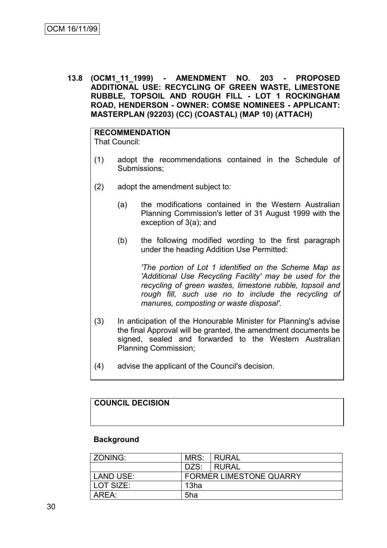**13.8 (OCM1\_11\_1999) - AMENDMENT NO. 203 - PROPOSED ADDITIONAL USE: RECYCLING OF GREEN WASTE, LIMESTONE RUBBLE, TOPSOIL AND ROUGH FILL - LOT 1 ROCKINGHAM ROAD, HENDERSON - OWNER: COMSE NOMINEES - APPLICANT: MASTERPLAN (92203) (CC) (COASTAL) (MAP 10) (ATTACH)**

**RECOMMENDATION** That Council:

- (1) adopt the recommendations contained in the Schedule of Submissions;
- (2) adopt the amendment subject to:
	- (a) the modifications contained in the Western Australian Planning Commission's letter of 31 August 1999 with the exception of 3(a); and
	- (b) the following modified wording to the first paragraph under the heading Addition Use Permitted:

*'The portion of Lot 1 identified on the Scheme Map as 'Additional Use Recycling Facility' may be used for the recycling of green wastes, limestone rubble, topsoil and rough fill, such use no to include the recycling of manures, composting or waste disposal'.*

- (3) In anticipation of the Honourable Minister for Planning's advise the final Approval will be granted, the amendment documents be signed, sealed and forwarded to the Western Australian Planning Commission;
- (4) advise the applicant of the Council's decision.

## **COUNCIL DECISION**

#### **Background**

| <b>ZONING:</b> | MRS:                           | RURAL   |
|----------------|--------------------------------|---------|
|                | DZS:                           | I RURAL |
| LAND USE:      | <b>FORMER LIMESTONE QUARRY</b> |         |
| LOT SIZE:      | 13ha                           |         |
| AREA:          | 5ha                            |         |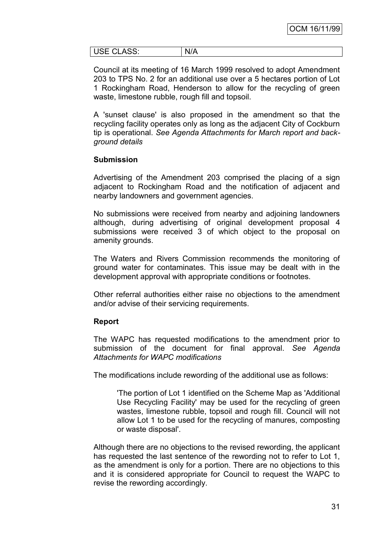| $\sim$ $\sim$<br>◡∟<br><u>ULINU.</u> | N<br>. .<br>NI I |
|--------------------------------------|------------------|
|--------------------------------------|------------------|

Council at its meeting of 16 March 1999 resolved to adopt Amendment 203 to TPS No. 2 for an additional use over a 5 hectares portion of Lot 1 Rockingham Road, Henderson to allow for the recycling of green waste, limestone rubble, rough fill and topsoil.

A 'sunset clause' is also proposed in the amendment so that the recycling facility operates only as long as the adjacent City of Cockburn tip is operational. *See Agenda Attachments for March report and background details*

#### **Submission**

Advertising of the Amendment 203 comprised the placing of a sign adjacent to Rockingham Road and the notification of adjacent and nearby landowners and government agencies.

No submissions were received from nearby and adjoining landowners although, during advertising of original development proposal 4 submissions were received 3 of which object to the proposal on amenity grounds.

The Waters and Rivers Commission recommends the monitoring of ground water for contaminates. This issue may be dealt with in the development approval with appropriate conditions or footnotes.

Other referral authorities either raise no objections to the amendment and/or advise of their servicing requirements.

#### **Report**

The WAPC has requested modifications to the amendment prior to submission of the document for final approval. *See Agenda Attachments for WAPC modifications*

The modifications include rewording of the additional use as follows:

'The portion of Lot 1 identified on the Scheme Map as 'Additional Use Recycling Facility' may be used for the recycling of green wastes, limestone rubble, topsoil and rough fill. Council will not allow Lot 1 to be used for the recycling of manures, composting or waste disposal'.

Although there are no objections to the revised rewording, the applicant has requested the last sentence of the rewording not to refer to Lot 1, as the amendment is only for a portion. There are no objections to this and it is considered appropriate for Council to request the WAPC to revise the rewording accordingly.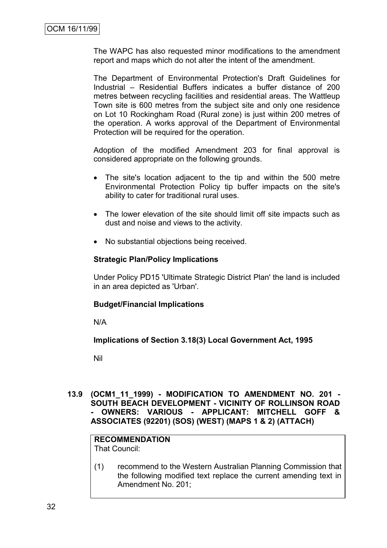The WAPC has also requested minor modifications to the amendment report and maps which do not alter the intent of the amendment.

The Department of Environmental Protection's Draft Guidelines for Industrial – Residential Buffers indicates a buffer distance of 200 metres between recycling facilities and residential areas. The Wattleup Town site is 600 metres from the subject site and only one residence on Lot 10 Rockingham Road (Rural zone) is just within 200 metres of the operation. A works approval of the Department of Environmental Protection will be required for the operation.

Adoption of the modified Amendment 203 for final approval is considered appropriate on the following grounds.

- The site's location adjacent to the tip and within the 500 metre Environmental Protection Policy tip buffer impacts on the site's ability to cater for traditional rural uses.
- The lower elevation of the site should limit off site impacts such as dust and noise and views to the activity.
- No substantial objections being received.

## **Strategic Plan/Policy Implications**

Under Policy PD15 'Ultimate Strategic District Plan' the land is included in an area depicted as 'Urban'.

## **Budget/Financial Implications**

N/A

## **Implications of Section 3.18(3) Local Government Act, 1995**

Nil

**13.9 (OCM1\_11\_1999) - MODIFICATION TO AMENDMENT NO. 201 - SOUTH BEACH DEVELOPMENT - VICINITY OF ROLLINSON ROAD - OWNERS: VARIOUS - APPLICANT: MITCHELL GOFF & ASSOCIATES (92201) (SOS) (WEST) (MAPS 1 & 2) (ATTACH)**

# **RECOMMENDATION**

That Council:

(1) recommend to the Western Australian Planning Commission that the following modified text replace the current amending text in Amendment No. 201;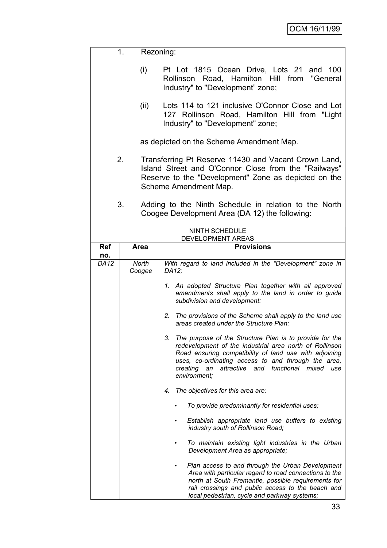|             | 1.              | Rezoning:                                                                                                                                                                                                                                                                                                                   |  |  |  |
|-------------|-----------------|-----------------------------------------------------------------------------------------------------------------------------------------------------------------------------------------------------------------------------------------------------------------------------------------------------------------------------|--|--|--|
|             | (i)             | Pt Lot 1815 Ocean Drive, Lots 21 and 100<br>Rollinson Road, Hamilton Hill from "General<br>Industry" to "Development" zone;                                                                                                                                                                                                 |  |  |  |
|             | (ii)            | Lots 114 to 121 inclusive O'Connor Close and Lot<br>127 Rollinson Road, Hamilton Hill from "Light<br>Industry" to "Development" zone;                                                                                                                                                                                       |  |  |  |
|             |                 | as depicted on the Scheme Amendment Map.                                                                                                                                                                                                                                                                                    |  |  |  |
|             | 2.              | Transferring Pt Reserve 11430 and Vacant Crown Land,<br>Island Street and O'Connor Close from the "Railways"<br>Reserve to the "Development" Zone as depicted on the<br>Scheme Amendment Map.                                                                                                                               |  |  |  |
|             | 3.              | Adding to the Ninth Schedule in relation to the North<br>Coogee Development Area (DA 12) the following:                                                                                                                                                                                                                     |  |  |  |
|             |                 | <b>NINTH SCHEDULE</b>                                                                                                                                                                                                                                                                                                       |  |  |  |
| <b>Ref</b>  |                 | DEVELOPMENT AREAS<br><b>Provisions</b>                                                                                                                                                                                                                                                                                      |  |  |  |
| no.         | <b>Area</b>     |                                                                                                                                                                                                                                                                                                                             |  |  |  |
| <b>DA12</b> | North<br>Coogee | With regard to land included in the "Development" zone in<br>DA12;                                                                                                                                                                                                                                                          |  |  |  |
|             |                 | 1. An adopted Structure Plan together with all approved<br>amendments shall apply to the land in order to guide<br>subdivision and development:                                                                                                                                                                             |  |  |  |
|             |                 | The provisions of the Scheme shall apply to the land use<br>2.<br>areas created under the Structure Plan:                                                                                                                                                                                                                   |  |  |  |
|             |                 | The purpose of the Structure Plan is to provide for the<br>3.<br>redevelopment of the industrial area north of Rollinson<br>Road ensuring compatibility of land use with adjoining<br>uses, co-ordinating access to and through the area,<br>functional mixed<br>creating<br>attractive<br>and<br>an<br>use<br>environment; |  |  |  |
|             |                 | The objectives for this area are:<br>4.                                                                                                                                                                                                                                                                                     |  |  |  |
|             |                 | To provide predominantly for residential uses;                                                                                                                                                                                                                                                                              |  |  |  |
|             |                 | Establish appropriate land use buffers to existing<br>$\bullet$<br>industry south of Rollinson Road;                                                                                                                                                                                                                        |  |  |  |
|             |                 | To maintain existing light industries in the Urban<br>٠<br>Development Area as appropriate;                                                                                                                                                                                                                                 |  |  |  |
|             |                 | Plan access to and through the Urban Development<br>$\bullet$<br>Area with particular regard to road connections to the<br>north at South Fremantle, possible requirements for<br>rail crossings and public access to the beach and<br>local pedestrian, cycle and parkway systems;                                         |  |  |  |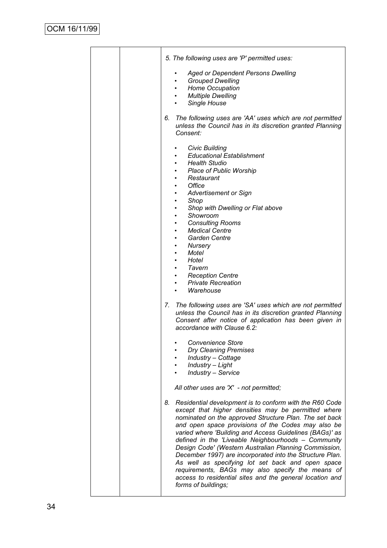|  | 5. The following uses are 'P' permitted uses:                                                                                                                                                                                                                                                                                                                                                                                                                                                                                                                                                                                                                           |
|--|-------------------------------------------------------------------------------------------------------------------------------------------------------------------------------------------------------------------------------------------------------------------------------------------------------------------------------------------------------------------------------------------------------------------------------------------------------------------------------------------------------------------------------------------------------------------------------------------------------------------------------------------------------------------------|
|  | <b>Aged or Dependent Persons Dwelling</b>                                                                                                                                                                                                                                                                                                                                                                                                                                                                                                                                                                                                                               |
|  | <b>Grouped Dwelling</b>                                                                                                                                                                                                                                                                                                                                                                                                                                                                                                                                                                                                                                                 |
|  | • Home Occupation<br>• Multiple Dwelling                                                                                                                                                                                                                                                                                                                                                                                                                                                                                                                                                                                                                                |
|  | Single House                                                                                                                                                                                                                                                                                                                                                                                                                                                                                                                                                                                                                                                            |
|  |                                                                                                                                                                                                                                                                                                                                                                                                                                                                                                                                                                                                                                                                         |
|  | 6. The following uses are 'AA' uses which are not permitted<br>unless the Council has in its discretion granted Planning<br>Consent:                                                                                                                                                                                                                                                                                                                                                                                                                                                                                                                                    |
|  | <b>Civic Building</b>                                                                                                                                                                                                                                                                                                                                                                                                                                                                                                                                                                                                                                                   |
|  | <b>Educational Establishment</b>                                                                                                                                                                                                                                                                                                                                                                                                                                                                                                                                                                                                                                        |
|  | <b>Health Studio</b>                                                                                                                                                                                                                                                                                                                                                                                                                                                                                                                                                                                                                                                    |
|  | <b>Place of Public Worship</b>                                                                                                                                                                                                                                                                                                                                                                                                                                                                                                                                                                                                                                          |
|  | Restaurant<br>Office                                                                                                                                                                                                                                                                                                                                                                                                                                                                                                                                                                                                                                                    |
|  | <b>Advertisement or Sign</b>                                                                                                                                                                                                                                                                                                                                                                                                                                                                                                                                                                                                                                            |
|  | Shop                                                                                                                                                                                                                                                                                                                                                                                                                                                                                                                                                                                                                                                                    |
|  | Shop with Dwelling or Flat above<br>٠                                                                                                                                                                                                                                                                                                                                                                                                                                                                                                                                                                                                                                   |
|  | Showroom                                                                                                                                                                                                                                                                                                                                                                                                                                                                                                                                                                                                                                                                |
|  | <b>Consulting Rooms</b>                                                                                                                                                                                                                                                                                                                                                                                                                                                                                                                                                                                                                                                 |
|  | <b>Medical Centre</b>                                                                                                                                                                                                                                                                                                                                                                                                                                                                                                                                                                                                                                                   |
|  | <b>Garden Centre</b><br>Nursery                                                                                                                                                                                                                                                                                                                                                                                                                                                                                                                                                                                                                                         |
|  | Motel                                                                                                                                                                                                                                                                                                                                                                                                                                                                                                                                                                                                                                                                   |
|  | Hotel                                                                                                                                                                                                                                                                                                                                                                                                                                                                                                                                                                                                                                                                   |
|  | Tavern                                                                                                                                                                                                                                                                                                                                                                                                                                                                                                                                                                                                                                                                  |
|  | • Reception Centre                                                                                                                                                                                                                                                                                                                                                                                                                                                                                                                                                                                                                                                      |
|  | <b>Private Recreation</b><br>Warehouse                                                                                                                                                                                                                                                                                                                                                                                                                                                                                                                                                                                                                                  |
|  |                                                                                                                                                                                                                                                                                                                                                                                                                                                                                                                                                                                                                                                                         |
|  | 7. The following uses are 'SA' uses which are not permitted<br>unless the Council has in its discretion granted Planning<br>Consent after notice of application has been given in<br>accordance with Clause 6.2:                                                                                                                                                                                                                                                                                                                                                                                                                                                        |
|  | <b>Convenience Store</b>                                                                                                                                                                                                                                                                                                                                                                                                                                                                                                                                                                                                                                                |
|  | <b>Dry Cleaning Premises</b>                                                                                                                                                                                                                                                                                                                                                                                                                                                                                                                                                                                                                                            |
|  | Industry - Cottage                                                                                                                                                                                                                                                                                                                                                                                                                                                                                                                                                                                                                                                      |
|  | Industry - Light                                                                                                                                                                                                                                                                                                                                                                                                                                                                                                                                                                                                                                                        |
|  | Industry - Service                                                                                                                                                                                                                                                                                                                                                                                                                                                                                                                                                                                                                                                      |
|  | All other uses are 'X' - not permitted;                                                                                                                                                                                                                                                                                                                                                                                                                                                                                                                                                                                                                                 |
|  | Residential development is to conform with the R60 Code<br>8.<br>except that higher densities may be permitted where<br>nominated on the approved Structure Plan. The set back<br>and open space provisions of the Codes may also be<br>varied where 'Building and Access Guidelines (BAGs)' as<br>defined in the 'Liveable Neighbourhoods - Community<br>Design Code' (Western Australian Planning Commission,<br>December 1997) are incorporated into the Structure Plan.<br>As well as specifying lot set back and open space<br>requirements, BAGs may also specify the means of<br>access to residential sites and the general location and<br>forms of buildings; |
|  |                                                                                                                                                                                                                                                                                                                                                                                                                                                                                                                                                                                                                                                                         |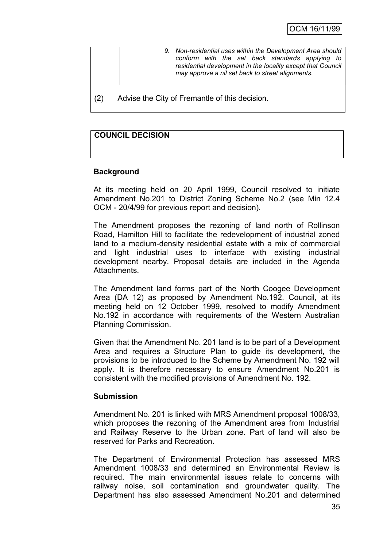|     | 9. | Non-residential uses within the Development Area should<br>conform with the set back standards applying to<br>residential development in the locality except that Council<br>may approve a nil set back to street alignments. |
|-----|----|-------------------------------------------------------------------------------------------------------------------------------------------------------------------------------------------------------------------------------|
| (2) |    | Advise the City of Fremantle of this decision.                                                                                                                                                                                |

# **COUNCIL DECISION**

## **Background**

At its meeting held on 20 April 1999, Council resolved to initiate Amendment No.201 to District Zoning Scheme No.2 (see Min 12.4 OCM - 20/4/99 for previous report and decision).

The Amendment proposes the rezoning of land north of Rollinson Road, Hamilton Hill to facilitate the redevelopment of industrial zoned land to a medium-density residential estate with a mix of commercial and light industrial uses to interface with existing industrial development nearby. Proposal details are included in the Agenda Attachments.

The Amendment land forms part of the North Coogee Development Area (DA 12) as proposed by Amendment No.192. Council, at its meeting held on 12 October 1999, resolved to modify Amendment No.192 in accordance with requirements of the Western Australian Planning Commission.

Given that the Amendment No. 201 land is to be part of a Development Area and requires a Structure Plan to guide its development, the provisions to be introduced to the Scheme by Amendment No. 192 will apply. It is therefore necessary to ensure Amendment No.201 is consistent with the modified provisions of Amendment No. 192.

#### **Submission**

Amendment No. 201 is linked with MRS Amendment proposal 1008/33, which proposes the rezoning of the Amendment area from Industrial and Railway Reserve to the Urban zone. Part of land will also be reserved for Parks and Recreation.

The Department of Environmental Protection has assessed MRS Amendment 1008/33 and determined an Environmental Review is required. The main environmental issues relate to concerns with railway noise, soil contamination and groundwater quality. The Department has also assessed Amendment No.201 and determined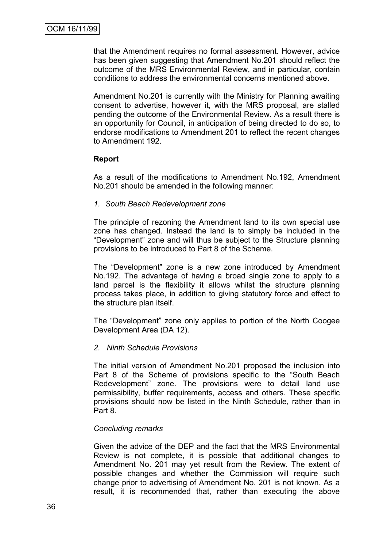that the Amendment requires no formal assessment. However, advice has been given suggesting that Amendment No.201 should reflect the outcome of the MRS Environmental Review, and in particular, contain conditions to address the environmental concerns mentioned above.

Amendment No.201 is currently with the Ministry for Planning awaiting consent to advertise, however it, with the MRS proposal, are stalled pending the outcome of the Environmental Review. As a result there is an opportunity for Council, in anticipation of being directed to do so, to endorse modifications to Amendment 201 to reflect the recent changes to Amendment 192.

## **Report**

As a result of the modifications to Amendment No.192, Amendment No.201 should be amended in the following manner:

#### *1. South Beach Redevelopment zone*

The principle of rezoning the Amendment land to its own special use zone has changed. Instead the land is to simply be included in the "Development" zone and will thus be subject to the Structure planning provisions to be introduced to Part 8 of the Scheme.

The "Development" zone is a new zone introduced by Amendment No.192. The advantage of having a broad single zone to apply to a land parcel is the flexibility it allows whilst the structure planning process takes place, in addition to giving statutory force and effect to the structure plan itself.

The "Development" zone only applies to portion of the North Coogee Development Area (DA 12).

## *2. Ninth Schedule Provisions*

The initial version of Amendment No.201 proposed the inclusion into Part 8 of the Scheme of provisions specific to the "South Beach Redevelopment" zone. The provisions were to detail land use permissibility, buffer requirements, access and others. These specific provisions should now be listed in the Ninth Schedule, rather than in Part 8.

## *Concluding remarks*

Given the advice of the DEP and the fact that the MRS Environmental Review is not complete, it is possible that additional changes to Amendment No. 201 may yet result from the Review. The extent of possible changes and whether the Commission will require such change prior to advertising of Amendment No. 201 is not known. As a result, it is recommended that, rather than executing the above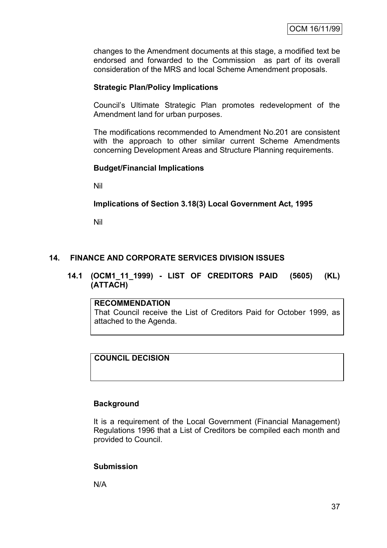changes to the Amendment documents at this stage, a modified text be endorsed and forwarded to the Commission as part of its overall consideration of the MRS and local Scheme Amendment proposals.

## **Strategic Plan/Policy Implications**

Council"s Ultimate Strategic Plan promotes redevelopment of the Amendment land for urban purposes.

The modifications recommended to Amendment No.201 are consistent with the approach to other similar current Scheme Amendments concerning Development Areas and Structure Planning requirements.

## **Budget/Financial Implications**

Nil

**Implications of Section 3.18(3) Local Government Act, 1995**

Nil

## **14. FINANCE AND CORPORATE SERVICES DIVISION ISSUES**

## **14.1 (OCM1\_11\_1999) - LIST OF CREDITORS PAID (5605) (KL) (ATTACH)**

# **RECOMMENDATION**

That Council receive the List of Creditors Paid for October 1999, as attached to the Agenda.

## **COUNCIL DECISION**

## **Background**

It is a requirement of the Local Government (Financial Management) Regulations 1996 that a List of Creditors be compiled each month and provided to Council.

## **Submission**

N/A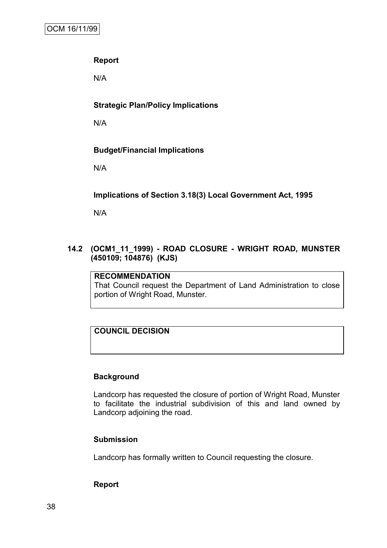## **Report**

N/A

# **Strategic Plan/Policy Implications**

N/A

# **Budget/Financial Implications**

N/A

**Implications of Section 3.18(3) Local Government Act, 1995**

N/A

## **14.2 (OCM1\_11\_1999) - ROAD CLOSURE - WRIGHT ROAD, MUNSTER (450109; 104876) (KJS)**

# **RECOMMENDATION**

That Council request the Department of Land Administration to close portion of Wright Road, Munster.

# **COUNCIL DECISION**

## **Background**

Landcorp has requested the closure of portion of Wright Road, Munster to facilitate the industrial subdivision of this and land owned by Landcorp adjoining the road.

# **Submission**

Landcorp has formally written to Council requesting the closure.

## **Report**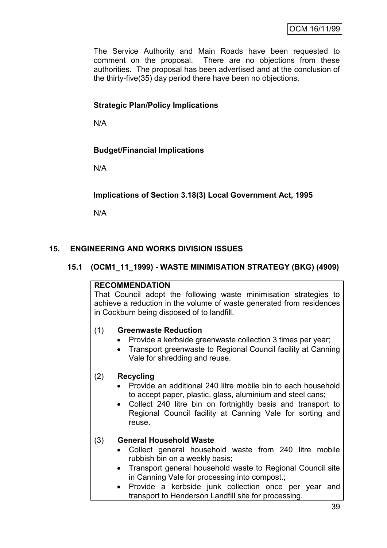The Service Authority and Main Roads have been requested to comment on the proposal. There are no objections from these authorities. The proposal has been advertised and at the conclusion of the thirty-five(35) day period there have been no objections.

# **Strategic Plan/Policy Implications**

N/A

# **Budget/Financial Implications**

N/A

# **Implications of Section 3.18(3) Local Government Act, 1995**

N/A

# **15. ENGINEERING AND WORKS DIVISION ISSUES**

## **15.1 (OCM1\_11\_1999) - WASTE MINIMISATION STRATEGY (BKG) (4909)**

## **RECOMMENDATION**

That Council adopt the following waste minimisation strategies to achieve a reduction in the volume of waste generated from residences in Cockburn being disposed of to landfill.

## (1) **Greenwaste Reduction**

- Provide a kerbside greenwaste collection 3 times per year;
- Transport greenwaste to Regional Council facility at Canning Vale for shredding and reuse.

## (2) **Recycling**

- Provide an additional 240 litre mobile bin to each household to accept paper, plastic, glass, aluminium and steel cans;
- Collect 240 litre bin on fortnightly basis and transport to Regional Council facility at Canning Vale for sorting and reuse.

## (3) **General Household Waste**

- Collect general household waste from 240 litre mobile rubbish bin on a weekly basis;
- Transport general household waste to Regional Council site in Canning Vale for processing into compost.;
- Provide a kerbside junk collection once per year and transport to Henderson Landfill site for processing.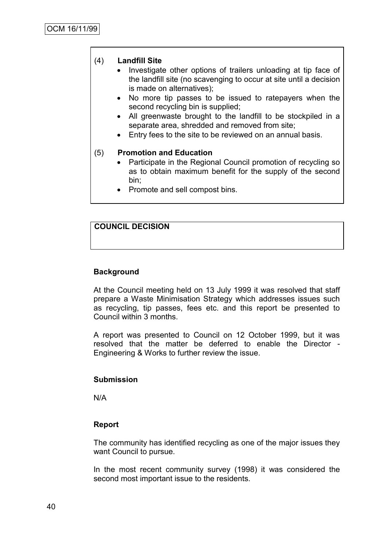#### (4) **Landfill Site**

- Investigate other options of trailers unloading at tip face of the landfill site (no scavenging to occur at site until a decision is made on alternatives);
- No more tip passes to be issued to ratepayers when the second recycling bin is supplied;
- All greenwaste brought to the landfill to be stockpiled in a separate area, shredded and removed from site;
- Entry fees to the site to be reviewed on an annual basis.

#### (5) **Promotion and Education**

- Participate in the Regional Council promotion of recycling so as to obtain maximum benefit for the supply of the second bin;
- Promote and sell compost bins.

# **COUNCIL DECISION**

#### **Background**

At the Council meeting held on 13 July 1999 it was resolved that staff prepare a Waste Minimisation Strategy which addresses issues such as recycling, tip passes, fees etc. and this report be presented to Council within 3 months.

A report was presented to Council on 12 October 1999, but it was resolved that the matter be deferred to enable the Director - Engineering & Works to further review the issue.

#### **Submission**

N/A

## **Report**

The community has identified recycling as one of the major issues they want Council to pursue.

In the most recent community survey (1998) it was considered the second most important issue to the residents.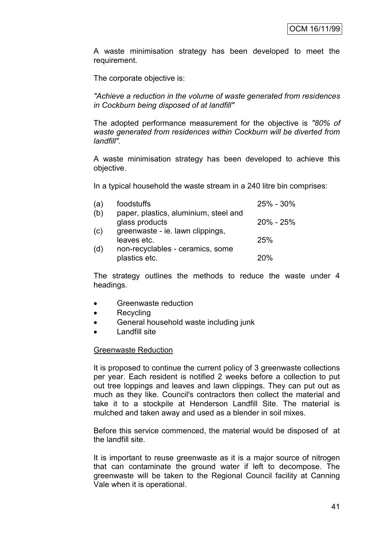A waste minimisation strategy has been developed to meet the requirement.

The corporate objective is:

*"Achieve a reduction in the volume of waste generated from residences in Cockburn being disposed of at landfill"*

The adopted performance measurement for the objective is *"80% of waste generated from residences within Cockburn will be diverted from landfill".*

A waste minimisation strategy has been developed to achieve this objective.

In a typical household the waste stream in a 240 litre bin comprises:

| (a) | foodstuffs                                              | 25% - 30% |
|-----|---------------------------------------------------------|-----------|
| (b) | paper, plastics, aluminium, steel and<br>glass products | 20% - 25% |
| (c) | greenwaste - ie. lawn clippings,<br>leaves etc.         | 25%       |
| (d) | non-recyclables - ceramics, some<br>plastics etc.       | 20%       |

The strategy outlines the methods to reduce the waste under 4 headings.

- Greenwaste reduction
- Recycling
- General household waste including junk
- Landfill site

#### Greenwaste Reduction

It is proposed to continue the current policy of 3 greenwaste collections per year. Each resident is notified 2 weeks before a collection to put out tree loppings and leaves and lawn clippings. They can put out as much as they like. Council's contractors then collect the material and take it to a stockpile at Henderson Landfill Site. The material is mulched and taken away and used as a blender in soil mixes.

Before this service commenced, the material would be disposed of at the landfill site.

It is important to reuse greenwaste as it is a major source of nitrogen that can contaminate the ground water if left to decompose. The greenwaste will be taken to the Regional Council facility at Canning Vale when it is operational.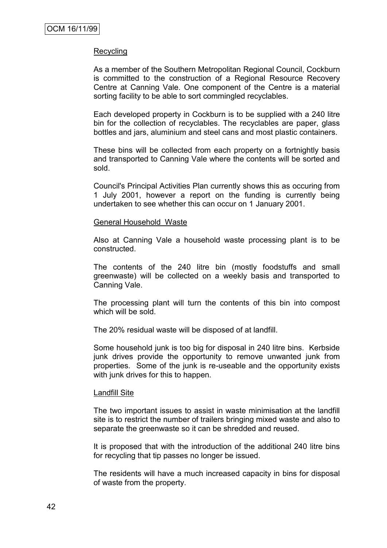#### **Recycling**

As a member of the Southern Metropolitan Regional Council, Cockburn is committed to the construction of a Regional Resource Recovery Centre at Canning Vale. One component of the Centre is a material sorting facility to be able to sort commingled recyclables.

Each developed property in Cockburn is to be supplied with a 240 litre bin for the collection of recyclables. The recyclables are paper, glass bottles and jars, aluminium and steel cans and most plastic containers.

These bins will be collected from each property on a fortnightly basis and transported to Canning Vale where the contents will be sorted and sold.

Council's Principal Activities Plan currently shows this as occuring from 1 July 2001, however a report on the funding is currently being undertaken to see whether this can occur on 1 January 2001.

#### General Household Waste

Also at Canning Vale a household waste processing plant is to be constructed.

The contents of the 240 litre bin (mostly foodstuffs and small greenwaste) will be collected on a weekly basis and transported to Canning Vale.

The processing plant will turn the contents of this bin into compost which will be sold.

The 20% residual waste will be disposed of at landfill.

Some household junk is too big for disposal in 240 litre bins. Kerbside junk drives provide the opportunity to remove unwanted junk from properties. Some of the junk is re-useable and the opportunity exists with junk drives for this to happen.

#### Landfill Site

The two important issues to assist in waste minimisation at the landfill site is to restrict the number of trailers bringing mixed waste and also to separate the greenwaste so it can be shredded and reused.

It is proposed that with the introduction of the additional 240 litre bins for recycling that tip passes no longer be issued.

The residents will have a much increased capacity in bins for disposal of waste from the property.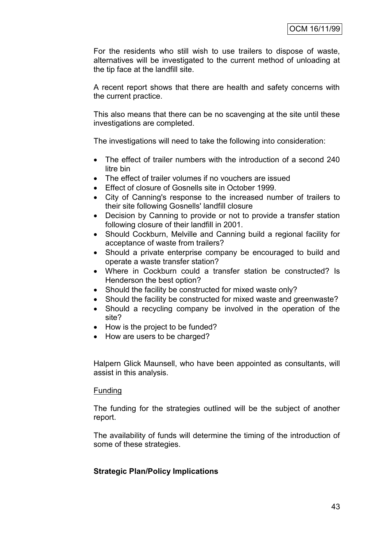For the residents who still wish to use trailers to dispose of waste, alternatives will be investigated to the current method of unloading at the tip face at the landfill site.

A recent report shows that there are health and safety concerns with the current practice.

This also means that there can be no scavenging at the site until these investigations are completed.

The investigations will need to take the following into consideration:

- The effect of trailer numbers with the introduction of a second 240 litre bin
- The effect of trailer volumes if no vouchers are issued
- Effect of closure of Gosnells site in October 1999.
- City of Canning's response to the increased number of trailers to their site following Gosnells' landfill closure
- Decision by Canning to provide or not to provide a transfer station following closure of their landfill in 2001.
- Should Cockburn, Melville and Canning build a regional facility for acceptance of waste from trailers?
- Should a private enterprise company be encouraged to build and operate a waste transfer station?
- Where in Cockburn could a transfer station be constructed? Is Henderson the best option?
- Should the facility be constructed for mixed waste only?
- Should the facility be constructed for mixed waste and greenwaste?
- Should a recycling company be involved in the operation of the site?
- How is the project to be funded?
- How are users to be charged?

Halpern Glick Maunsell, who have been appointed as consultants, will assist in this analysis.

#### Funding

The funding for the strategies outlined will be the subject of another report.

The availability of funds will determine the timing of the introduction of some of these strategies.

## **Strategic Plan/Policy Implications**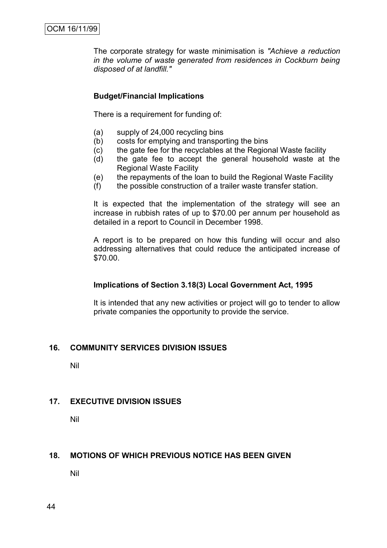The corporate strategy for waste minimisation is *"Achieve a reduction in the volume of waste generated from residences in Cockburn being disposed of at landfill."*

## **Budget/Financial Implications**

There is a requirement for funding of:

- (a) supply of 24,000 recycling bins
- (b) costs for emptying and transporting the bins
- (c) the gate fee for the recyclables at the Regional Waste facility
- (d) the gate fee to accept the general household waste at the Regional Waste Facility
- (e) the repayments of the loan to build the Regional Waste Facility
- (f) the possible construction of a trailer waste transfer station.

It is expected that the implementation of the strategy will see an increase in rubbish rates of up to \$70.00 per annum per household as detailed in a report to Council in December 1998.

A report is to be prepared on how this funding will occur and also addressing alternatives that could reduce the anticipated increase of \$70.00.

## **Implications of Section 3.18(3) Local Government Act, 1995**

It is intended that any new activities or project will go to tender to allow private companies the opportunity to provide the service.

## **16. COMMUNITY SERVICES DIVISION ISSUES**

Nil

# **17. EXECUTIVE DIVISION ISSUES**

Nil

## **18. MOTIONS OF WHICH PREVIOUS NOTICE HAS BEEN GIVEN**

Nil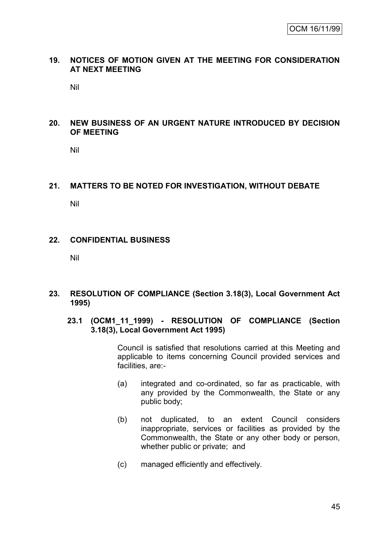## **19. NOTICES OF MOTION GIVEN AT THE MEETING FOR CONSIDERATION AT NEXT MEETING**

Nil

## **20. NEW BUSINESS OF AN URGENT NATURE INTRODUCED BY DECISION OF MEETING**

Nil

## **21. MATTERS TO BE NOTED FOR INVESTIGATION, WITHOUT DEBATE**

Nil

## **22. CONFIDENTIAL BUSINESS**

Nil

## **23. RESOLUTION OF COMPLIANCE (Section 3.18(3), Local Government Act 1995)**

## **23.1 (OCM1\_11\_1999) - RESOLUTION OF COMPLIANCE (Section 3.18(3), Local Government Act 1995)**

Council is satisfied that resolutions carried at this Meeting and applicable to items concerning Council provided services and facilities, are:-

- (a) integrated and co-ordinated, so far as practicable, with any provided by the Commonwealth, the State or any public body;
- (b) not duplicated, to an extent Council considers inappropriate, services or facilities as provided by the Commonwealth, the State or any other body or person, whether public or private; and
- (c) managed efficiently and effectively.